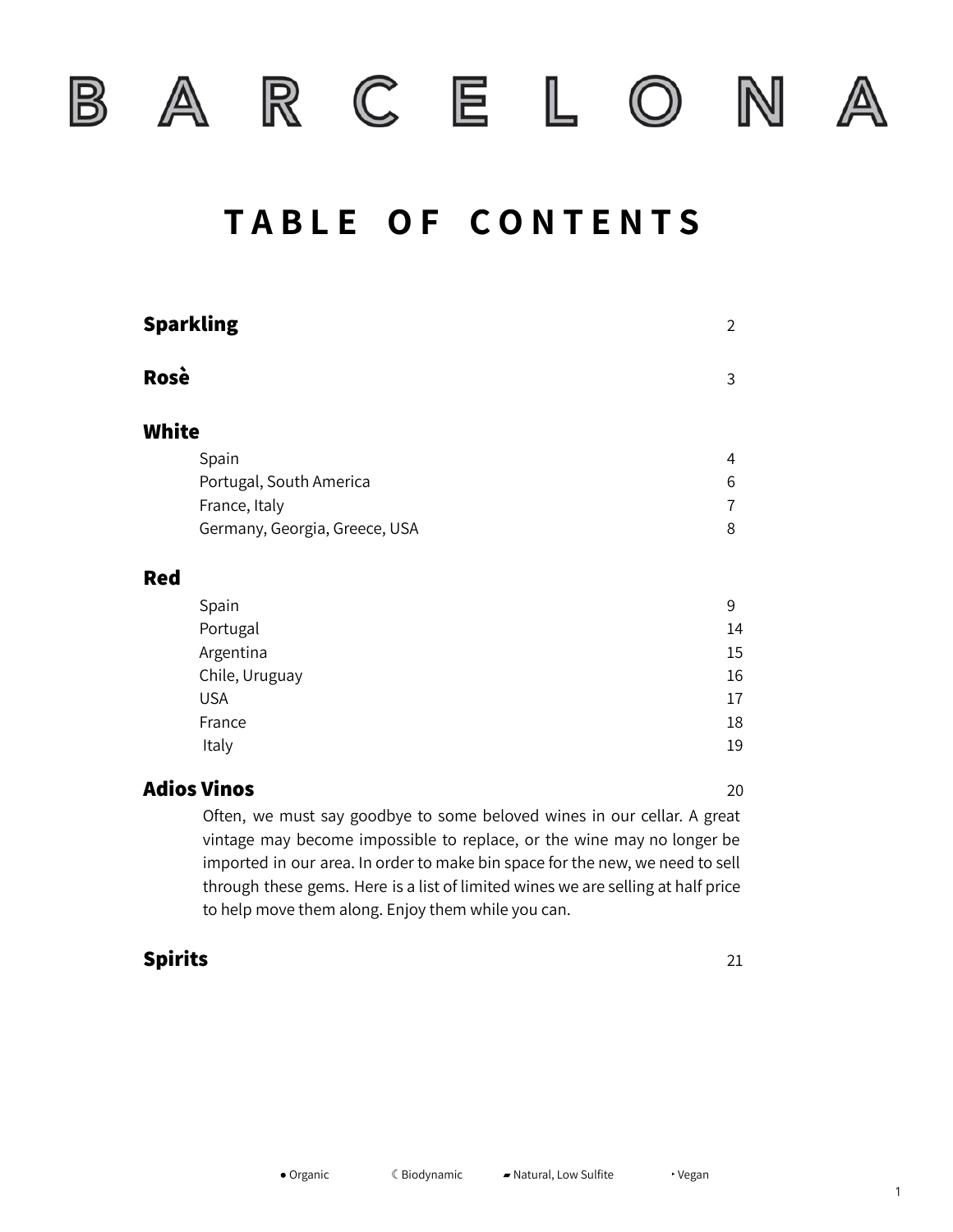

 $\mathbb B$ 

R C E L

 $\left(\bigcirc\right)$ 

N

# **T A B L E O F C O N T E N T S**

|       | Sparkling                     | $\overline{2}$ |
|-------|-------------------------------|----------------|
| Rosè  |                               | 3              |
| White |                               |                |
|       | Spain                         | 4              |
|       | Portugal, South America       | 6              |
|       | France, Italy                 | 7              |
|       | Germany, Georgia, Greece, USA | 8              |
| Red   |                               |                |
|       | Spain                         | 9              |
|       | Portugal                      | 14             |
|       | Argentina                     | 15             |
|       | Chile, Uruguay                | 16             |
|       | <b>USA</b>                    | 17             |
|       | France                        | 18             |
|       | Italy                         | 19             |
|       |                               |                |

### **Adios Vinos** 20

Often, we must say goodbye to some beloved wines in our cellar. A great vintage may become impossible to replace, or the wine may no longer be imported in our area. In order to make bin space for the new, we need to sell through these gems. Here is a list of limited wines we are selling at half price to help move them along. Enjoy them while you can.

### **Spirits** 21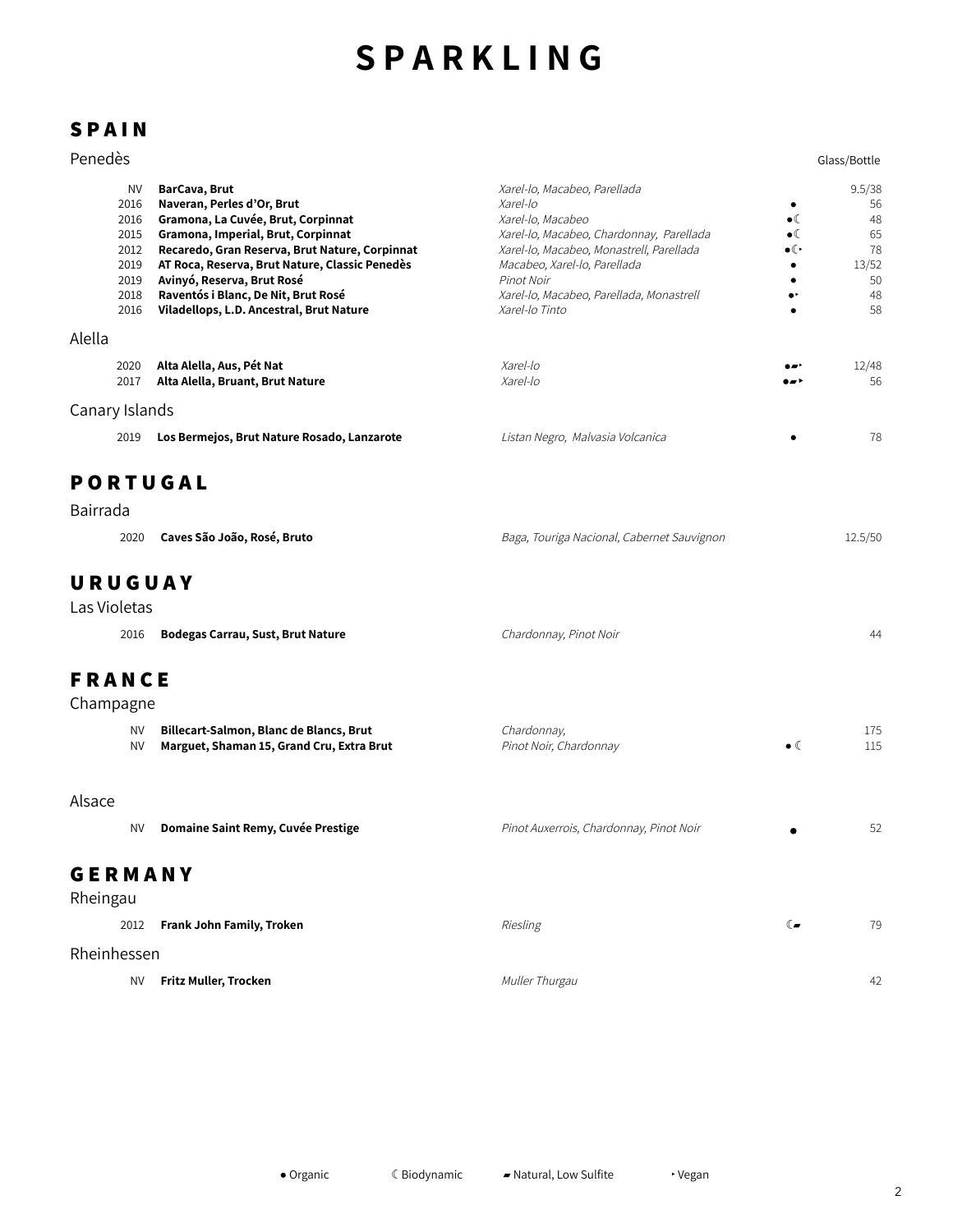# **S P A R K L I N G**

### **S P A I N**

#### experience of the extension of the extension of the extension of the extension of the Glass/Bottle

| <b>NV</b>      | BarCava, Brut                                  | Xarel-lo, Macabeo, Parellada             |                                      | 9.5/38 |
|----------------|------------------------------------------------|------------------------------------------|--------------------------------------|--------|
| 2016           | Naveran, Perles d'Or, Brut                     | Xarel-lo                                 |                                      | 56     |
| 2016           | Gramona, La Cuvée, Brut, Corpinnat             | Xarel-lo, Macabeo                        | $\bullet$                            | 48     |
| 2015           | Gramona, Imperial, Brut, Corpinnat             | Xarel-lo, Macabeo, Chardonnay, Parellada | $\bullet$                            | 65     |
| 2012           | Recaredo, Gran Reserva, Brut Nature, Corpinnat | Xarel-lo, Macabeo, Monastrell, Parellada | $\bullet$ ( $\overline{\phantom{a}}$ | 78     |
| 2019           | AT Roca, Reserva, Brut Nature, Classic Penedès | Macabeo, Xarel-lo, Parellada             |                                      | 13/52  |
| 2019           | Avinyó, Reserva, Brut Rosé                     | Pinot Noir                               |                                      | 50     |
| 2018           | Raventós i Blanc, De Nit, Brut Rosé            | Xarel-lo, Macabeo, Parellada, Monastrell |                                      | 48     |
| 2016           | Viladellops, L.D. Ancestral, Brut Nature       | Xarel-lo Tinto                           | ٠                                    | 58     |
| Alella         |                                                |                                          |                                      |        |
| 2020           | Alta Alella, Aus, Pét Nat                      | Xarel-lo                                 | ۰.۰                                  | 12/48  |
| 2017           | Alta Alella, Bruant, Brut Nature               | Xarel-lo                                 | .                                    | 56     |
| Canary Islands |                                                |                                          |                                      |        |
| 2019           | Los Bermejos, Brut Nature Rosado, Lanzarote    | Listan Negro, Malvasia Volcanica         |                                      | 78     |
| <b>PORTUGA</b> |                                                |                                          |                                      |        |

# **P O R T U G A L**

| Bairrada                                                                                                                   |                                            |         |
|----------------------------------------------------------------------------------------------------------------------------|--------------------------------------------|---------|
| Caves São João, Rosé, Bruto<br>2020                                                                                        | Baga, Touriga Nacional, Cabernet Sauvignon | 12.5/50 |
| URUGUAY<br>the contract of the contract of the contract of the contract of the contract of the contract of the contract of |                                            |         |

Las Violetas 2016 **Bodegas Carrau, Sust, Brut Nature** Chardonnay, Pinot Noir 44

## **F R A N C E**

# Champagne

|                | <b>NV</b><br><b>NV</b> | Billecart-Salmon, Blanc de Blancs, Brut<br>Marguet, Shaman 15, Grand Cru, Extra Brut | Chardonnay,<br>Pinot Noir, Chardonnay   | $\bullet$ (  | 175<br>115 |
|----------------|------------------------|--------------------------------------------------------------------------------------|-----------------------------------------|--------------|------------|
| Alsace         |                        |                                                                                      |                                         |              |            |
|                | <b>NV</b>              | Domaine Saint Remy, Cuvée Prestige                                                   | Pinot Auxerrois, Chardonnay, Pinot Noir | ٠            | 52         |
| <b>GERMANY</b> |                        |                                                                                      |                                         |              |            |
| Rheingau       | 2012                   | Frank John Family, Troken                                                            | Riesling                                | $\mathbb{C}$ | 79         |
| Rheinhessen    |                        |                                                                                      |                                         |              |            |
|                | <b>NV</b>              | Fritz Muller, Trocken                                                                | Muller Thurgau                          |              | 42         |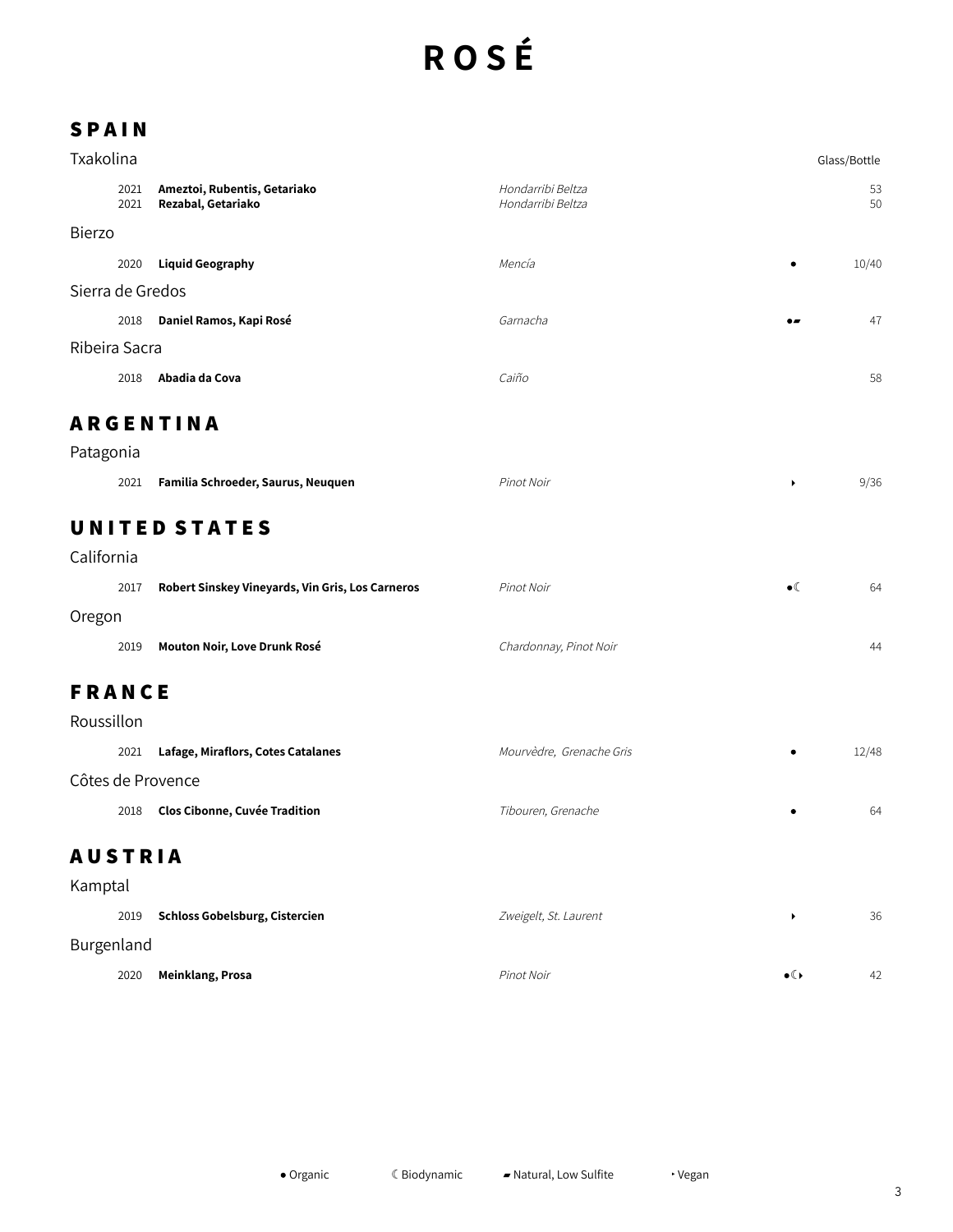# **R O S É**

### **S P A I N**

| Txakolina        |               |                                                    |                                        | Glass/Bottle |          |  |
|------------------|---------------|----------------------------------------------------|----------------------------------------|--------------|----------|--|
|                  | 2021<br>2021  | Ameztoi, Rubentis, Getariako<br>Rezabal, Getariako | Hondarribi Beltza<br>Hondarribi Beltza |              | 53<br>50 |  |
| Bierzo           |               |                                                    |                                        |              |          |  |
|                  | 2020          | <b>Liquid Geography</b>                            | Mencía                                 | $\bullet$    | 10/40    |  |
| Sierra de Gredos |               |                                                    |                                        |              |          |  |
|                  | 2018          | Daniel Ramos, Kapi Rosé                            | Garnacha                               | $\bullet$    | 47       |  |
|                  | Ribeira Sacra |                                                    |                                        |              |          |  |
|                  | 2018          | Abadia da Cova                                     | Caiño                                  |              | 58       |  |

### **A R G E N T I N A**

| Patagonia |                                    |            |      |
|-----------|------------------------------------|------------|------|
| 2021      | Familia Schroeder, Saurus, Neuquen | Pinot Noir | 9/36 |

# **U N I T E D S T A T E S**

| California |                                                  |                        |             |    |
|------------|--------------------------------------------------|------------------------|-------------|----|
| 2017       | Robert Sinskey Vineyards, Vin Gris, Los Carneros | Pinot Noir             | $\bullet$ ( | 64 |
| Oregon     |                                                  |                        |             |    |
| 2019       | Mouton Noir, Love Drunk Rosé                     | Chardonnay, Pinot Noir |             | 44 |

## **F R A N C E**

| Roussillon        |      |                                      |                          |  |       |
|-------------------|------|--------------------------------------|--------------------------|--|-------|
|                   | 2021 | Lafage, Miraflors, Cotes Catalanes   | Mourvèdre, Grenache Gris |  | 12/48 |
| Côtes de Provence |      |                                      |                          |  |       |
|                   | 2018 | <b>Clos Cibonne, Cuvée Tradition</b> | Tibouren, Grenache       |  | 64    |

## **A U S T R I A**

| Kamptal    |      |                                |                       |               |    |
|------------|------|--------------------------------|-----------------------|---------------|----|
|            | 2019 | Schloss Gobelsburg, Cistercien | Zweigelt, St. Laurent |               | 36 |
| Burgenland |      |                                |                       |               |    |
|            | 2020 | Meinklang, Prosa               | Pinot Noir            | $\bullet$ ( ) | 42 |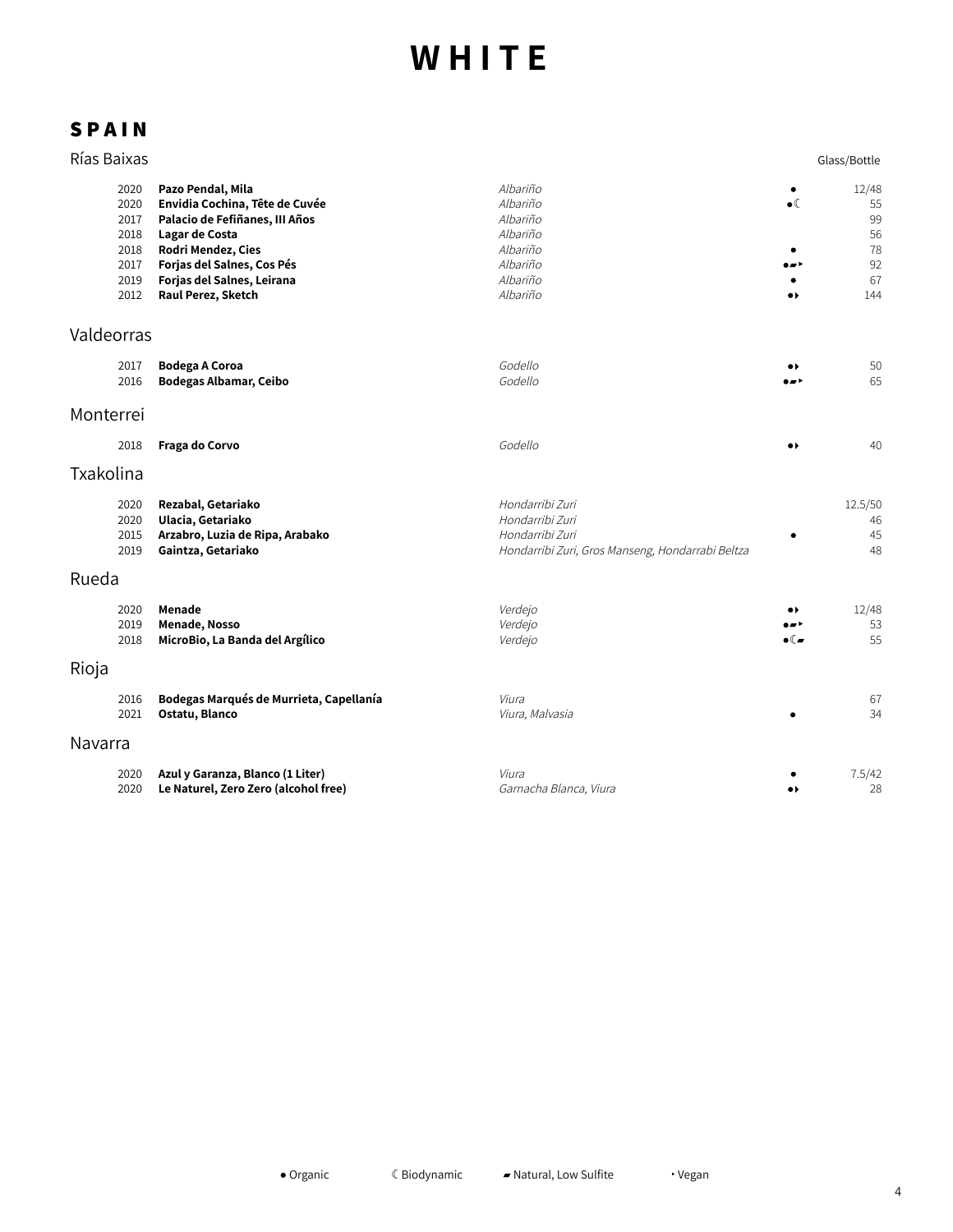| Rías Baixas                                                  |                                                                                                                                                                                                                 |                                                                                                           |                                                                       | Glass/Bottle                                     |
|--------------------------------------------------------------|-----------------------------------------------------------------------------------------------------------------------------------------------------------------------------------------------------------------|-----------------------------------------------------------------------------------------------------------|-----------------------------------------------------------------------|--------------------------------------------------|
| 2020<br>2020<br>2017<br>2018<br>2018<br>2017<br>2019<br>2012 | Pazo Pendal, Mila<br>Envidia Cochina, Tête de Cuvée<br>Palacio de Fefiñanes, III Años<br>Lagar de Costa<br>Rodri Mendez, Cies<br>Forjas del Salnes, Cos Pés<br>Forjas del Salnes, Leirana<br>Raul Perez, Sketch | Albariño<br>Albariño<br>Albariño<br>Albariño<br>Albariño<br>Albariño<br>Albariño<br>Albariño              | $\bullet$ (<br>$\bullet\blacktriangleright$                           | 12/48<br>55<br>99<br>56<br>78<br>92<br>67<br>144 |
| Valdeorras                                                   |                                                                                                                                                                                                                 |                                                                                                           |                                                                       |                                                  |
| 2017<br>2016                                                 | <b>Bodega A Coroa</b><br><b>Bodegas Albamar, Ceibo</b>                                                                                                                                                          | Godello<br>Godello                                                                                        | $\bullet\blacktriangleright$<br>∙∽                                    | 50<br>65                                         |
| Monterrei                                                    |                                                                                                                                                                                                                 |                                                                                                           |                                                                       |                                                  |
| 2018                                                         | Fraga do Corvo                                                                                                                                                                                                  | Godello                                                                                                   | $\bullet$                                                             | 40                                               |
| Txakolina                                                    |                                                                                                                                                                                                                 |                                                                                                           |                                                                       |                                                  |
| 2020<br>2020<br>2015<br>2019                                 | Rezabal, Getariako<br>Ulacia, Getariako<br>Arzabro, Luzia de Ripa, Arabako<br>Gaintza, Getariako                                                                                                                | Hondarribi Zuri<br>Hondarribi Zuri<br>Hondarribi Zuri<br>Hondarribi Zuri, Gros Manseng, Hondarrabi Beltza |                                                                       | 12.5/50<br>46<br>45<br>48                        |
| Rueda                                                        |                                                                                                                                                                                                                 |                                                                                                           |                                                                       |                                                  |
| 2020<br>2019<br>2018                                         | Menade<br>Menade, Nosso<br>MicroBio, La Banda del Argílico                                                                                                                                                      | Verdejo<br>Verdejo<br>Verdejo                                                                             | $\bullet\blacktriangleright$<br><br>$\bullet$ ( $\blacktriangleright$ | 12/48<br>53<br>55                                |
| Rioja                                                        |                                                                                                                                                                                                                 |                                                                                                           |                                                                       |                                                  |
| 2016<br>2021                                                 | Bodegas Marqués de Murrieta, Capellanía<br>Ostatu, Blanco                                                                                                                                                       | Viura<br>Viura, Malvasia                                                                                  |                                                                       | 67<br>34                                         |
| Navarra                                                      |                                                                                                                                                                                                                 |                                                                                                           |                                                                       |                                                  |
| 2020<br>2020                                                 | Azul y Garanza, Blanco (1 Liter)<br>Le Naturel, Zero Zero (alcohol free)                                                                                                                                        | Viura<br>Garnacha Blanca, Viura                                                                           | $\bullet\star$                                                        | 7.5/42<br>28                                     |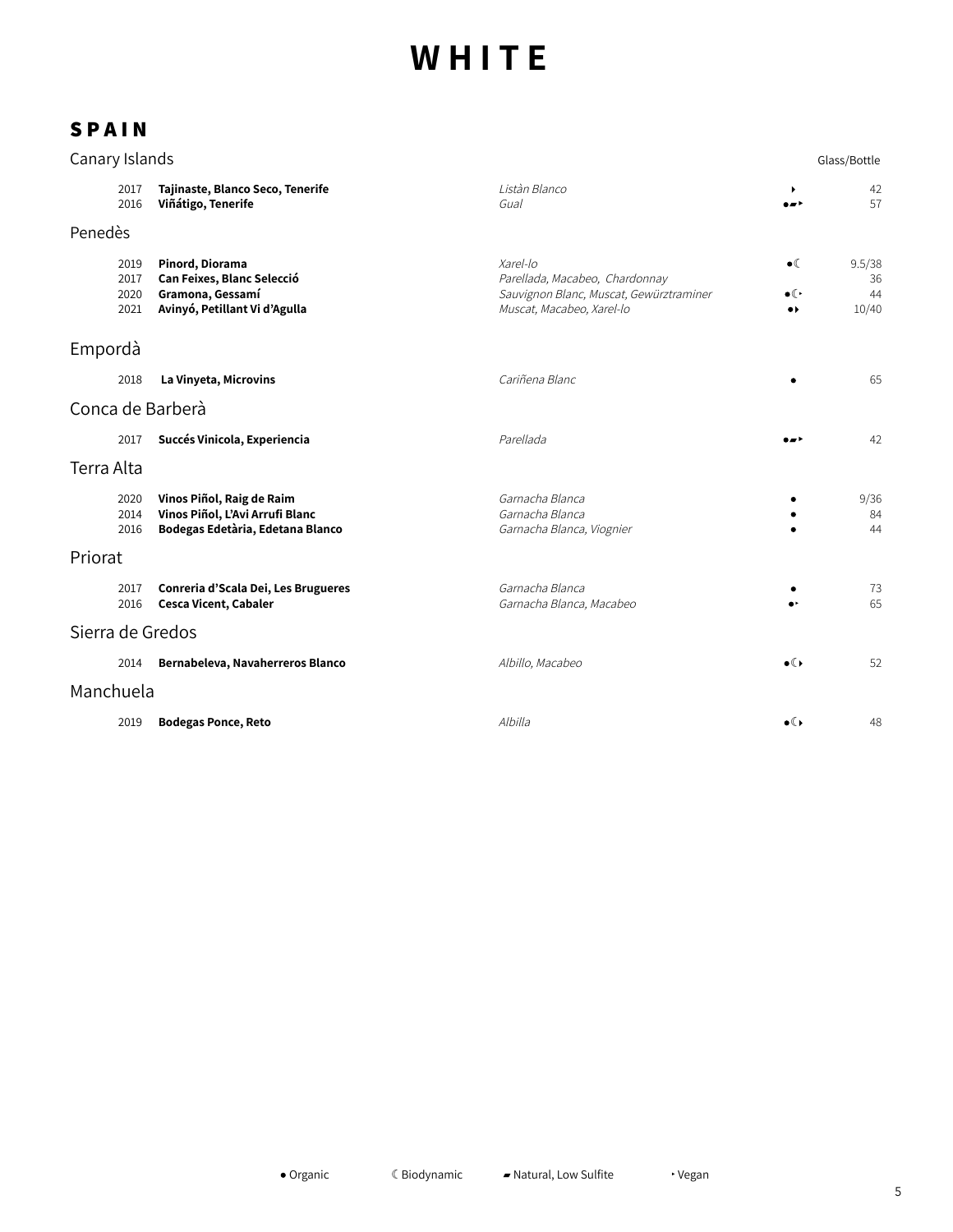| Canary Islands   |                              |                                                                                                    |                                                                                                                    |                                                                  | Glass/Bottle                |  |
|------------------|------------------------------|----------------------------------------------------------------------------------------------------|--------------------------------------------------------------------------------------------------------------------|------------------------------------------------------------------|-----------------------------|--|
|                  | 2017<br>2016                 | Tajinaste, Blanco Seco, Tenerife<br>Viñátigo, Tenerife                                             | Listàn Blanco<br>Gual                                                                                              | ٠<br>$\bullet$                                                   | 42<br>57                    |  |
| Penedès          |                              |                                                                                                    |                                                                                                                    |                                                                  |                             |  |
|                  | 2019<br>2017<br>2020<br>2021 | Pinord, Diorama<br>Can Feixes, Blanc Selecció<br>Gramona, Gessamí<br>Avinyó, Petillant Vi d'Agulla | Xarel-lo<br>Parellada, Macabeo, Chardonnay<br>Sauvignon Blanc, Muscat, Gewürztraminer<br>Muscat, Macabeo, Xarel-lo | $\bullet$<br>$\bullet$ ( $\cdot$<br>$\bullet\blacktriangleright$ | 9.5/38<br>36<br>44<br>10/40 |  |
| Empordà          |                              |                                                                                                    |                                                                                                                    |                                                                  |                             |  |
|                  | 2018                         | La Vinyeta, Microvins                                                                              | Cariñena Blanc                                                                                                     |                                                                  | 65                          |  |
|                  |                              | Conca de Barberà                                                                                   |                                                                                                                    |                                                                  |                             |  |
|                  | 2017                         | Succés Vinicola, Experiencia                                                                       | Parellada                                                                                                          | $\bullet$                                                        | 42                          |  |
| Terra Alta       |                              |                                                                                                    |                                                                                                                    |                                                                  |                             |  |
|                  | 2020<br>2014<br>2016         | Vinos Piñol, Raig de Raim<br>Vinos Piñol, L'Avi Arrufi Blanc<br>Bodegas Edetària, Edetana Blanco   | Garnacha Blanca<br>Garnacha Blanca<br>Garnacha Blanca, Viognier                                                    |                                                                  | 9/36<br>84<br>44            |  |
| Priorat          |                              |                                                                                                    |                                                                                                                    |                                                                  |                             |  |
|                  | 2017<br>2016                 | Conreria d'Scala Dei, Les Brugueres<br><b>Cesca Vicent, Cabaler</b>                                | Garnacha Blanca<br>Garnacha Blanca, Macabeo                                                                        |                                                                  | 73<br>65                    |  |
| Sierra de Gredos |                              |                                                                                                    |                                                                                                                    |                                                                  |                             |  |
|                  | 2014                         | Bernabeleva, Navaherreros Blanco                                                                   | Albillo, Macabeo                                                                                                   | $\bullet$                                                        | 52                          |  |
| Manchuela        |                              |                                                                                                    |                                                                                                                    |                                                                  |                             |  |
|                  | 2019                         | <b>Bodegas Ponce, Reto</b>                                                                         | Albilla                                                                                                            | $\bullet$ ( )                                                    | 48                          |  |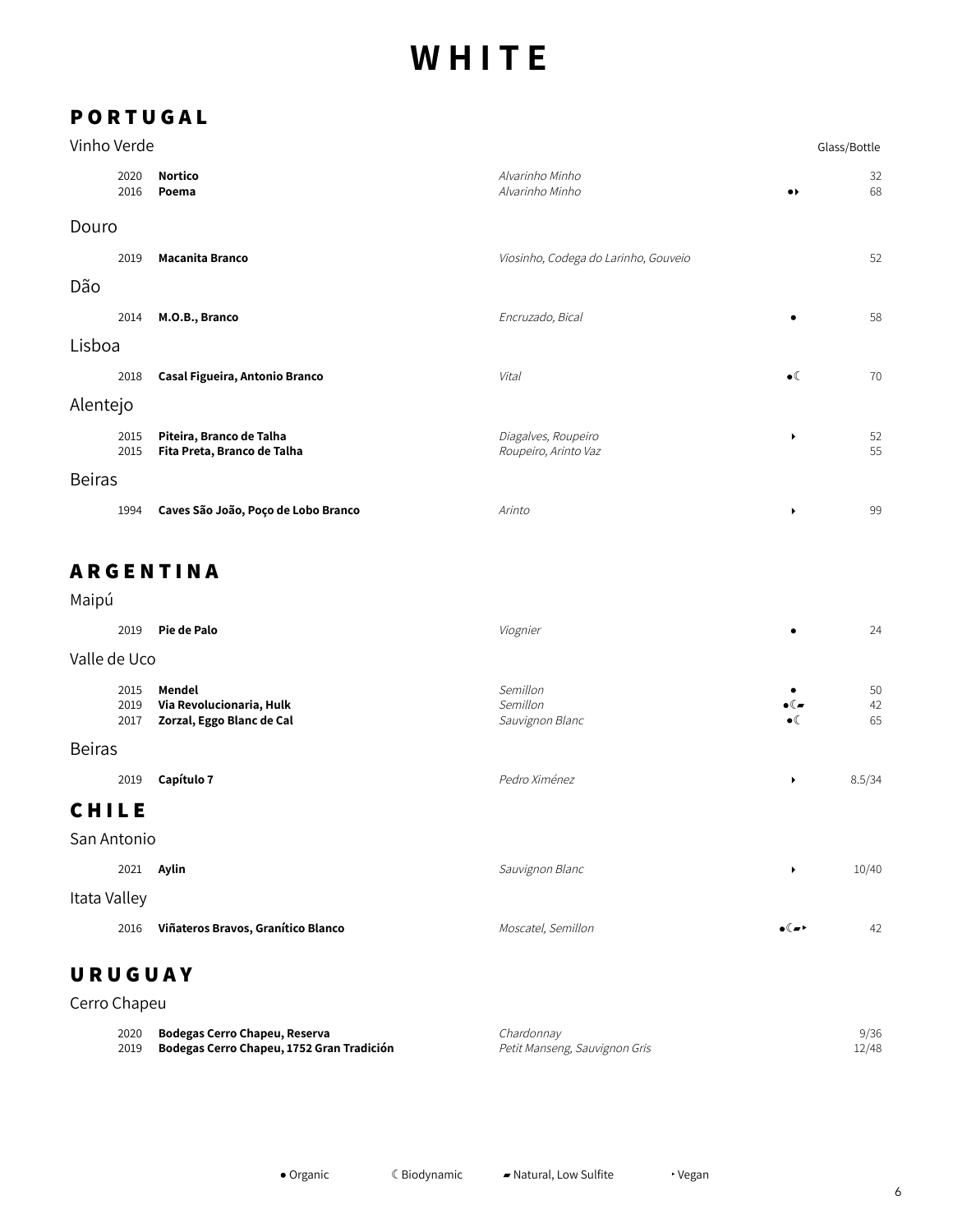# **P O R T U G A L**

| Vinho Verde   |              |                                                         |                                             | Glass/Bottle          |          |
|---------------|--------------|---------------------------------------------------------|---------------------------------------------|-----------------------|----------|
|               | 2020<br>2016 | <b>Nortico</b><br>Poema                                 | Alvarinho Minho<br>Alvarinho Minho          | $\bullet\bullet$      | 32<br>68 |
| Douro         |              |                                                         |                                             |                       |          |
|               | 2019         | <b>Macanita Branco</b>                                  | Viosinho, Codega do Larinho, Gouveio        |                       | 52       |
| Dão           |              |                                                         |                                             |                       |          |
|               | 2014         | M.O.B., Branco                                          | Encruzado, Bical                            | ٠                     | 58       |
| Lisboa        |              |                                                         |                                             |                       |          |
|               | 2018         | Casal Figueira, Antonio Branco                          | Vital                                       | $\bullet$ (           | 70       |
| Alentejo      |              |                                                         |                                             |                       |          |
|               | 2015<br>2015 | Piteira, Branco de Talha<br>Fita Preta, Branco de Talha | Diagalves, Roupeiro<br>Roupeiro, Arinto Vaz | $\blacktriangleright$ | 52<br>55 |
| <b>Beiras</b> |              |                                                         |                                             |                       |          |
|               | 1994         | Caves São João, Poço de Lobo Branco                     | Arinto                                      | $\ddot{\phantom{1}}$  | 99       |

# **A R G E N T I N A**

Maipú

| 2019                 | Pie de Palo                                                     | Viognier                                | ٠                                  | 24             |
|----------------------|-----------------------------------------------------------------|-----------------------------------------|------------------------------------|----------------|
| Valle de Uco         |                                                                 |                                         |                                    |                |
| 2015<br>2019<br>2017 | Mendel<br>Via Revolucionaria, Hulk<br>Zorzal, Eggo Blanc de Cal | Semillon<br>Semillon<br>Sauvignon Blanc | $\bullet$ ( $\bullet$<br>$\bullet$ | 50<br>42<br>65 |
| <b>Beiras</b>        |                                                                 |                                         |                                    |                |
| 2019                 | Capítulo 7                                                      | Pedro Ximénez                           | ٠                                  | 8.5/34         |
| <b>CHILE</b>         |                                                                 |                                         |                                    |                |
| San Antonio          |                                                                 |                                         |                                    |                |
| 2021                 | Aylin                                                           | Sauvignon Blanc                         | ▶                                  | 10/40          |
| Itata Valley         |                                                                 |                                         |                                    |                |
| 2016                 | Viñateros Bravos, Granítico Blanco                              | Moscatel, Semillon                      | $\bullet$ ( $\bullet$ )            | 42             |
| URUGUAY              |                                                                 |                                         |                                    |                |

| Cerro Chapeu |                                           |                               |       |
|--------------|-------------------------------------------|-------------------------------|-------|
| 2020         | Bodegas Cerro Chapeu, Reserva             | Chardonnay                    | 9/36  |
| 2019         | Bodegas Cerro Chapeu, 1752 Gran Tradición | Petit Manseng, Sauvignon Gris | 12/48 |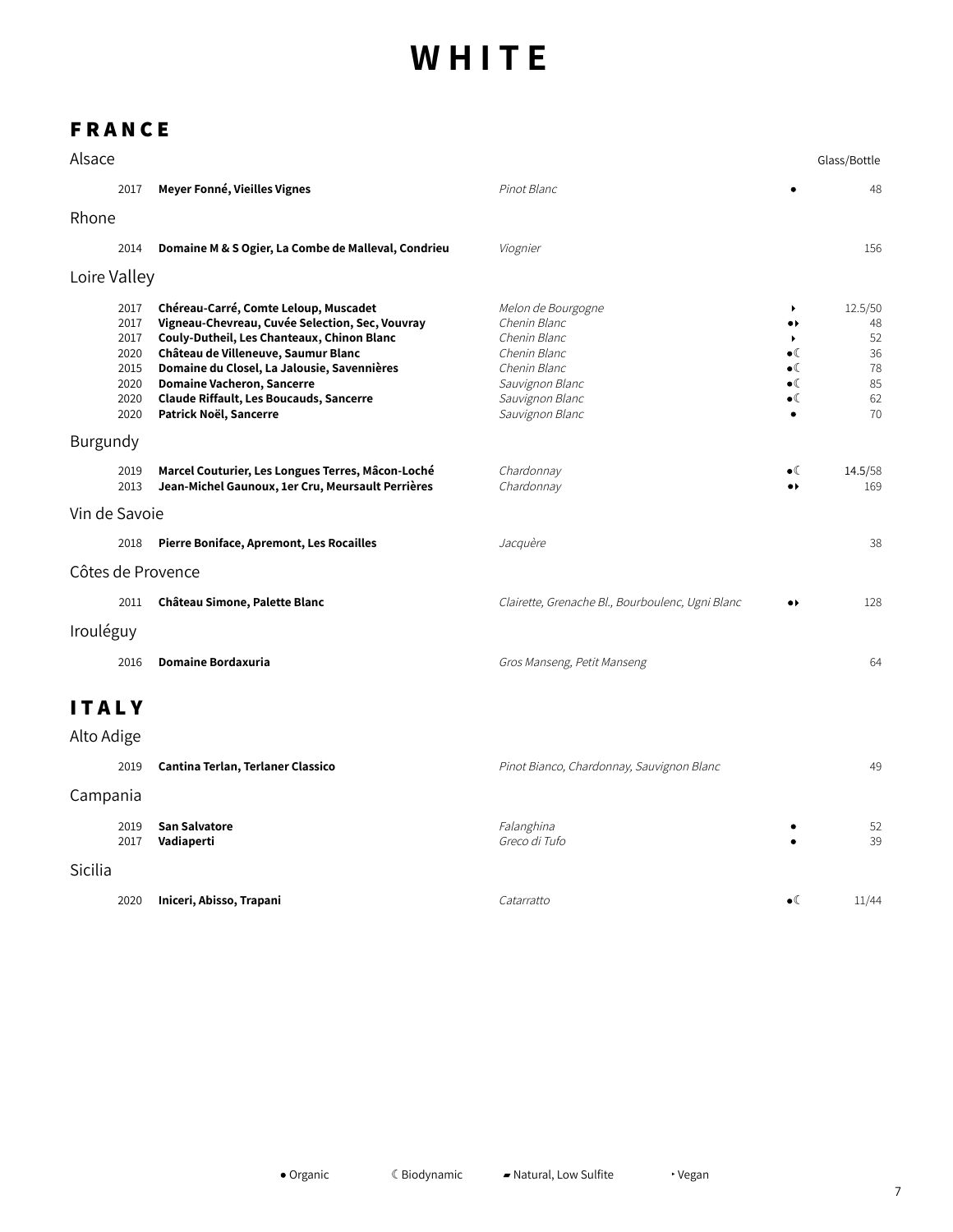## **F R A N C E**

| Alsace                     |                                                              |                                                                                                                                                                                                                                                                                                                                               |                                                                                                                                             |                                                                                                   | Glass/Bottle                                      |
|----------------------------|--------------------------------------------------------------|-----------------------------------------------------------------------------------------------------------------------------------------------------------------------------------------------------------------------------------------------------------------------------------------------------------------------------------------------|---------------------------------------------------------------------------------------------------------------------------------------------|---------------------------------------------------------------------------------------------------|---------------------------------------------------|
|                            | 2017                                                         | Meyer Fonné, Vieilles Vignes                                                                                                                                                                                                                                                                                                                  | Pinot Blanc                                                                                                                                 |                                                                                                   | 48                                                |
| Rhone                      |                                                              |                                                                                                                                                                                                                                                                                                                                               |                                                                                                                                             |                                                                                                   |                                                   |
|                            | 2014                                                         | Domaine M & S Ogier, La Combe de Malleval, Condrieu                                                                                                                                                                                                                                                                                           | Viognier                                                                                                                                    |                                                                                                   | 156                                               |
| Loire Valley               |                                                              |                                                                                                                                                                                                                                                                                                                                               |                                                                                                                                             |                                                                                                   |                                                   |
|                            | 2017<br>2017<br>2017<br>2020<br>2015<br>2020<br>2020<br>2020 | Chéreau-Carré, Comte Leloup, Muscadet<br>Vigneau-Chevreau, Cuvée Selection, Sec, Vouvray<br>Couly-Dutheil, Les Chanteaux, Chinon Blanc<br>Château de Villeneuve, Saumur Blanc<br>Domaine du Closel, La Jalousie, Savennières<br><b>Domaine Vacheron, Sancerre</b><br><b>Claude Riffault, Les Boucauds, Sancerre</b><br>Patrick Noël, Sancerre | Melon de Bourgogne<br>Chenin Blanc<br>Chenin Blanc<br>Chenin Blanc<br>Chenin Blanc<br>Sauvignon Blanc<br>Sauvignon Blanc<br>Sauvignon Blanc | ▶<br>$\bullet\,\flat$<br>٠<br>$\bullet$<br>$\bullet$ (<br>$\bullet$ (<br>$\bullet$ (<br>$\bullet$ | 12.5/50<br>48<br>52<br>36<br>78<br>85<br>62<br>70 |
| Burgundy                   |                                                              |                                                                                                                                                                                                                                                                                                                                               |                                                                                                                                             |                                                                                                   |                                                   |
|                            | 2019<br>2013                                                 | Marcel Couturier, Les Longues Terres, Mâcon-Loché<br>Jean-Michel Gaunoux, 1er Cru, Meursault Perrières                                                                                                                                                                                                                                        | Chardonnay<br>Chardonnay                                                                                                                    | $\bullet$ (<br>$\bullet\blacktriangleright$                                                       | 14.5/58<br>169                                    |
| Vin de Savoie              |                                                              |                                                                                                                                                                                                                                                                                                                                               |                                                                                                                                             |                                                                                                   |                                                   |
|                            | 2018                                                         | <b>Pierre Boniface, Apremont, Les Rocailles</b>                                                                                                                                                                                                                                                                                               | Jacquère                                                                                                                                    |                                                                                                   | 38                                                |
|                            |                                                              | Côtes de Provence                                                                                                                                                                                                                                                                                                                             |                                                                                                                                             |                                                                                                   |                                                   |
|                            | 2011                                                         | Château Simone, Palette Blanc                                                                                                                                                                                                                                                                                                                 | Clairette, Grenache Bl., Bourboulenc, Ugni Blanc                                                                                            | $\bullet\bullet$                                                                                  | 128                                               |
| Irouléguy                  |                                                              |                                                                                                                                                                                                                                                                                                                                               |                                                                                                                                             |                                                                                                   |                                                   |
|                            | 2016                                                         | <b>Domaine Bordaxuria</b>                                                                                                                                                                                                                                                                                                                     | Gros Manseng, Petit Manseng                                                                                                                 |                                                                                                   | 64                                                |
| <b>ITALY</b><br>Alto Adige |                                                              |                                                                                                                                                                                                                                                                                                                                               |                                                                                                                                             |                                                                                                   |                                                   |
|                            | 2019                                                         | Cantina Terlan, Terlaner Classico                                                                                                                                                                                                                                                                                                             | Pinot Bianco, Chardonnay, Sauvignon Blanc                                                                                                   |                                                                                                   | 49                                                |
| Campania                   |                                                              |                                                                                                                                                                                                                                                                                                                                               |                                                                                                                                             |                                                                                                   |                                                   |
|                            | 2019<br>2017                                                 | San Salvatore<br>Vadiaperti                                                                                                                                                                                                                                                                                                                   | Falanghina<br>Greco di Tufo                                                                                                                 |                                                                                                   | 52<br>39                                          |
| Sicilia                    |                                                              |                                                                                                                                                                                                                                                                                                                                               |                                                                                                                                             |                                                                                                   |                                                   |
|                            | 2020                                                         | Iniceri, Abisso, Trapani                                                                                                                                                                                                                                                                                                                      | Catarratto                                                                                                                                  | $\bullet$ (                                                                                       | 11/44                                             |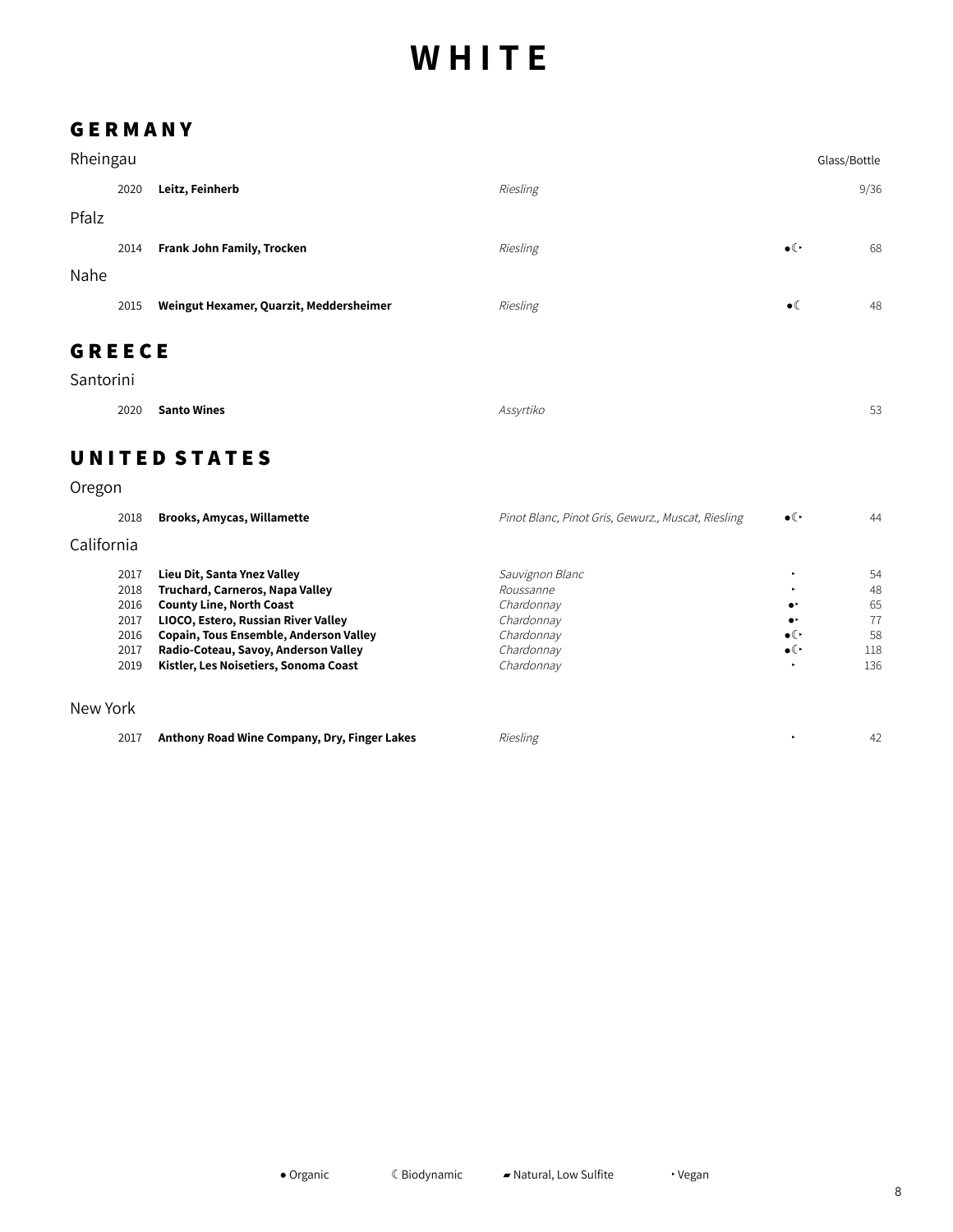### **G E R M A N Y**

| Rheingau      |      |                                         |          |                     | Glass/Bottle |
|---------------|------|-----------------------------------------|----------|---------------------|--------------|
|               | 2020 | Leitz, Feinherb                         | Riesling |                     | 9/36         |
| Pfalz         |      |                                         |          |                     |              |
|               | 2014 | Frank John Family, Trocken              | Riesling | $\bullet$ ( $\cdot$ | 68           |
| Nahe          |      |                                         |          |                     |              |
|               | 2015 | Weingut Hexamer, Quarzit, Meddersheimer | Riesling | $\bullet$ (         | 48           |
| <b>GREECE</b> |      |                                         |          |                     |              |
| Santorini     |      |                                         |          |                     |              |

| 2020 Santo Wines | Assyrtiko | $-2$<br>トメ<br>ت |
|------------------|-----------|-----------------|

## **U N I T E D S T A T E S**

### Oregon

| 2018       | <b>Brooks, Amycas, Willamette</b>             | Pinot Blanc, Pinot Gris, Gewurz., Muscat, Riesling | $\bullet$ ( $\cdot$ | 44  |
|------------|-----------------------------------------------|----------------------------------------------------|---------------------|-----|
| California |                                               |                                                    |                     |     |
| 2017       | Lieu Dit, Santa Ynez Valley                   | Sauvignon Blanc                                    | ٠                   | 54  |
| 2018       | Truchard, Carneros, Napa Valley               | Roussanne                                          | ٠                   | 48  |
| 2016       | <b>County Line, North Coast</b>               | Chardonnay                                         | $\bullet^{\star}$   | 65  |
| 2017       | LIOCO, Estero, Russian River Valley           | Chardonnay                                         | $\bullet$           | 77  |
| 2016       | <b>Copain, Tous Ensemble, Anderson Valley</b> | Chardonnay                                         | $\bullet$ ( $\cdot$ | 58  |
| 2017       | Radio-Coteau, Savoy, Anderson Valley          | Chardonnay                                         | $\bullet$ ( $\cdot$ | 118 |
| 2019       | Kistler, Les Noisetiers, Sonoma Coast         | Chardonnay                                         | ٠                   | 136 |
|            |                                               |                                                    |                     |     |
| New York   |                                               |                                                    |                     |     |

|  | 2017 Anthony Road Wine Company, Dry, Finger Lakes | <i>Riesling</i> |  |  |
|--|---------------------------------------------------|-----------------|--|--|
|--|---------------------------------------------------|-----------------|--|--|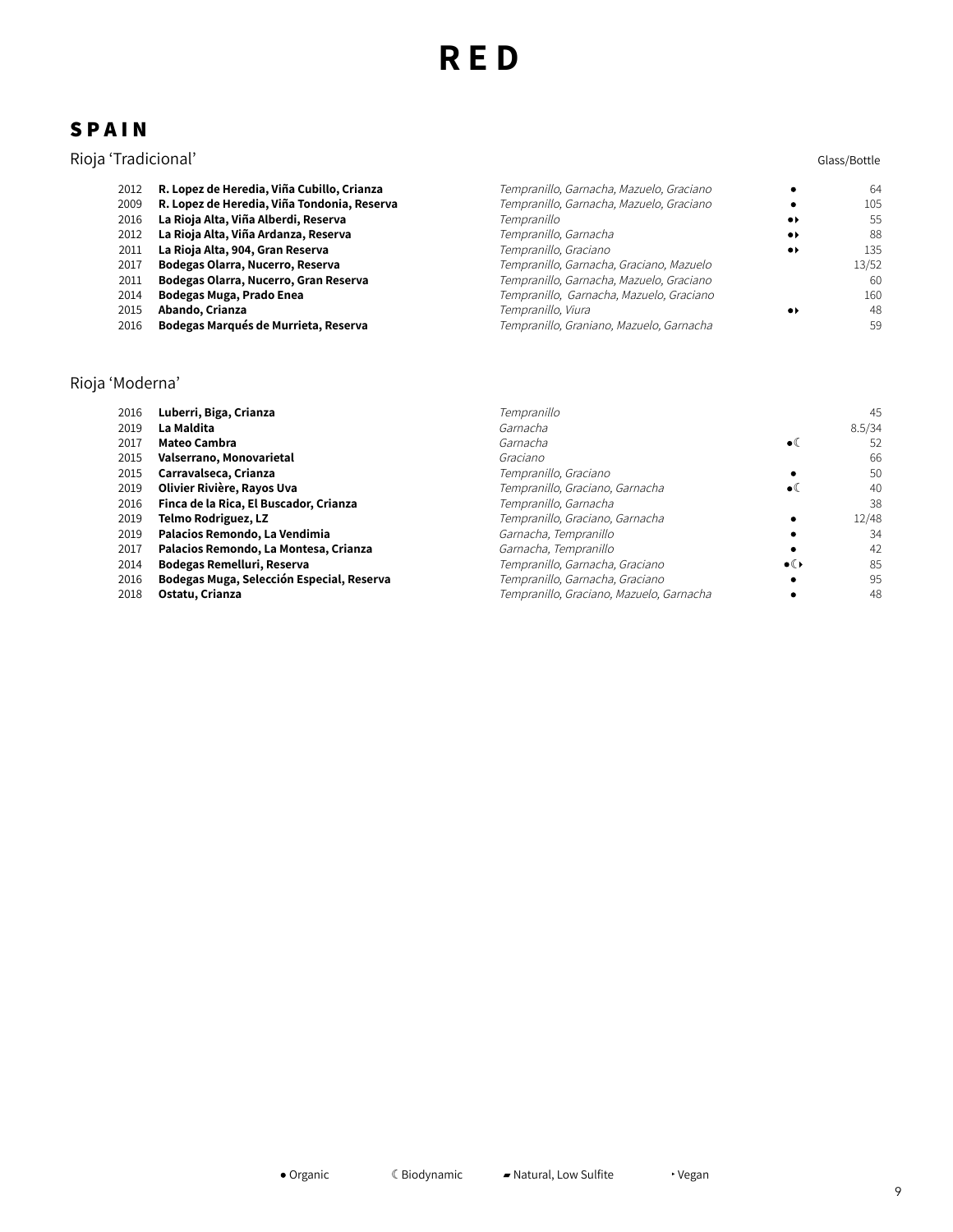### **S P A I N**

# Rioja 'Tradicional' Glass/Bottle

| 2012 | R. Lopez de Heredia, Viña Cubillo, Crianza  | Tempranillo, Garnacha, Mazuelo, Graciano |                              | 64    |
|------|---------------------------------------------|------------------------------------------|------------------------------|-------|
| 2009 | R. Lopez de Heredia, Viña Tondonia, Reserva | Tempranillo, Garnacha, Mazuelo, Graciano |                              | 105   |
| 2016 | La Rioja Alta, Viña Alberdi, Reserva        | Tempranillo                              | $\bullet\bullet$             | .55   |
| 2012 | La Rioja Alta, Viña Ardanza, Reserva        | Tempranillo, Garnacha                    | $\bullet\star$               | 88    |
| 2011 | La Rioja Alta, 904, Gran Reserva            | Tempranillo, Graciano                    | $\bullet\blacktriangleright$ | 135   |
| 2017 | Bodegas Olarra, Nucerro, Reserva            | Tempranillo, Garnacha, Graciano, Mazuelo |                              | 13/52 |
| 2011 | Bodegas Olarra, Nucerro, Gran Reserva       | Tempranillo, Garnacha, Mazuelo, Graciano |                              | 60    |
| 2014 | Bodegas Muga, Prado Enea                    | Tempranillo, Garnacha, Mazuelo, Graciano |                              | 160   |
| 2015 | Abando, Crianza                             | Tempranillo, Viura                       | $\bullet\blacktriangleright$ | 48    |
| 2016 | Bodegas Marqués de Murrieta, Reserva        | Tempranillo, Graniano, Mazuelo, Garnacha |                              | 59    |
|      |                                             |                                          |                              |       |

### Rioja 'Moderna'

| 2016 | Luberri, Biga, Crianza                    | Tempranillo                              |               | 45     |
|------|-------------------------------------------|------------------------------------------|---------------|--------|
| 2019 | La Maldita                                | Garnacha                                 |               | 8.5/34 |
| 2017 | <b>Mateo Cambra</b>                       | Garnacha                                 | $\bullet$     | 52     |
| 2015 | Valserrano, Monovarietal                  | Graciano                                 |               | 66     |
| 2015 | Carravalseca, Crianza                     | Tempranillo, Graciano                    |               | 50     |
| 2019 | Olivier Rivière, Rayos Uva                | Tempranillo, Graciano, Garnacha          | $\bullet$ ((  | 40     |
| 2016 | Finca de la Rica, El Buscador, Crianza    | Tempranillo, Garnacha                    |               | 38     |
| 2019 | <b>Telmo Rodriguez, LZ</b>                | Tempranillo, Graciano, Garnacha          |               | 12/48  |
| 2019 | Palacios Remondo, La Vendimia             | Garnacha, Tempranillo                    |               | 34     |
| 2017 | Palacios Remondo, La Montesa, Crianza     | Garnacha, Tempranillo                    |               | 42     |
| 2014 | Bodegas Remelluri, Reserva                | Tempranillo, Garnacha, Graciano          | $\bullet$ ( ) | 85     |
| 2016 | Bodegas Muga, Selección Especial, Reserva | Tempranillo, Garnacha, Graciano          |               | 95     |
| 2018 | Ostatu, Crianza                           | Tempranillo, Graciano, Mazuelo, Garnacha |               | 48     |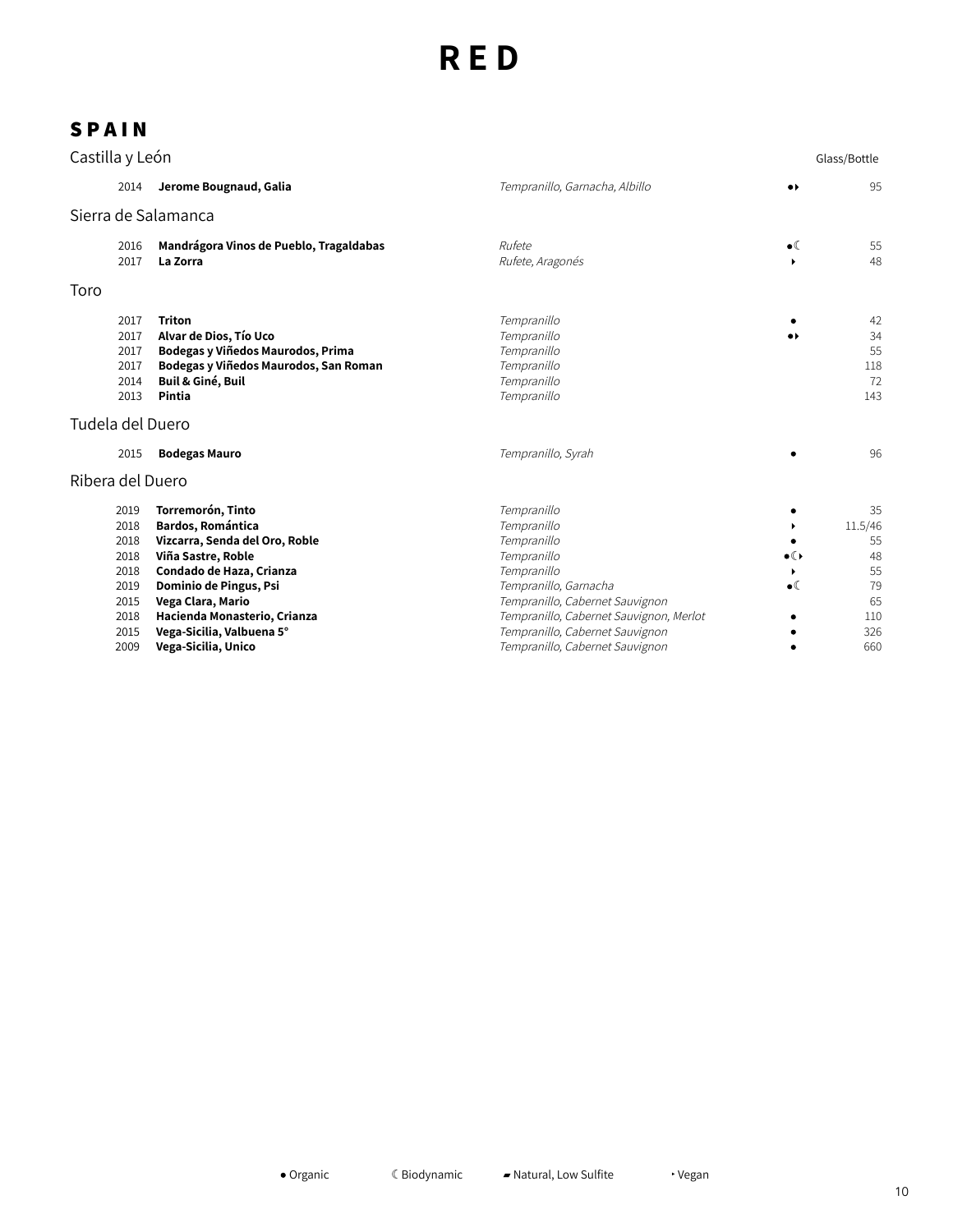| Castilla y León                                      |                                                                                                                                                                                  |                                                                                                                                     |                                 | Glass/Bottle                                |
|------------------------------------------------------|----------------------------------------------------------------------------------------------------------------------------------------------------------------------------------|-------------------------------------------------------------------------------------------------------------------------------------|---------------------------------|---------------------------------------------|
| 2014                                                 | Jerome Bougnaud, Galia                                                                                                                                                           | Tempranillo, Garnacha, Albillo                                                                                                      | $\bullet\blacktriangleright$    | 95                                          |
| Sierra de Salamanca                                  |                                                                                                                                                                                  |                                                                                                                                     |                                 |                                             |
| 2016<br>2017                                         | Mandrágora Vinos de Pueblo, Tragaldabas<br>La Zorra                                                                                                                              | Rufete<br>Rufete, Aragonés                                                                                                          | $\bullet$<br>٠                  | 55<br>48                                    |
| Toro                                                 |                                                                                                                                                                                  |                                                                                                                                     |                                 |                                             |
| 2017<br>2017<br>2017<br>2017<br>2014<br>2013         | <b>Triton</b><br>Alvar de Dios, Tío Uco<br>Bodegas y Viñedos Maurodos, Prima<br>Bodegas y Viñedos Maurodos, San Roman<br>Buil & Giné, Buil<br>Pintia                             | Tempranillo<br>Tempranillo<br>Tempranillo<br>Tempranillo<br>Tempranillo<br>Tempranillo                                              | .,                              | 42<br>34<br>55<br>118<br>72<br>143          |
| Tudela del Duero                                     |                                                                                                                                                                                  |                                                                                                                                     |                                 |                                             |
| 2015                                                 | <b>Bodegas Mauro</b>                                                                                                                                                             | Tempranillo, Syrah                                                                                                                  |                                 | 96                                          |
| Ribera del Duero                                     |                                                                                                                                                                                  |                                                                                                                                     |                                 |                                             |
| 2019<br>2018<br>2018<br>2018<br>2018<br>2019<br>2015 | Torremorón, Tinto<br><b>Bardos, Romántica</b><br>Vizcarra, Senda del Oro, Roble<br>Viña Sastre, Roble<br>Condado de Haza, Crianza<br>Dominio de Pingus, Psi<br>Vega Clara, Mario | Tempranillo<br>Tempranillo<br>Tempranillo<br>Tempranillo<br>Tempranillo<br>Tempranillo, Garnacha<br>Tempranillo, Cabernet Sauvignon | $\bullet$ ( )<br>▶<br>$\bullet$ | 35<br>11.5/46<br>55<br>48<br>55<br>79<br>65 |
| 2018<br>2015<br>2009                                 | Hacienda Monasterio, Crianza<br>Vega-Sicilia, Valbuena 5°<br>Vega-Sicilia, Unico                                                                                                 | Tempranillo, Cabernet Sauvignon, Merlot<br>Tempranillo, Cabernet Sauvignon<br>Tempranillo, Cabernet Sauvignon                       |                                 | 110<br>326<br>660                           |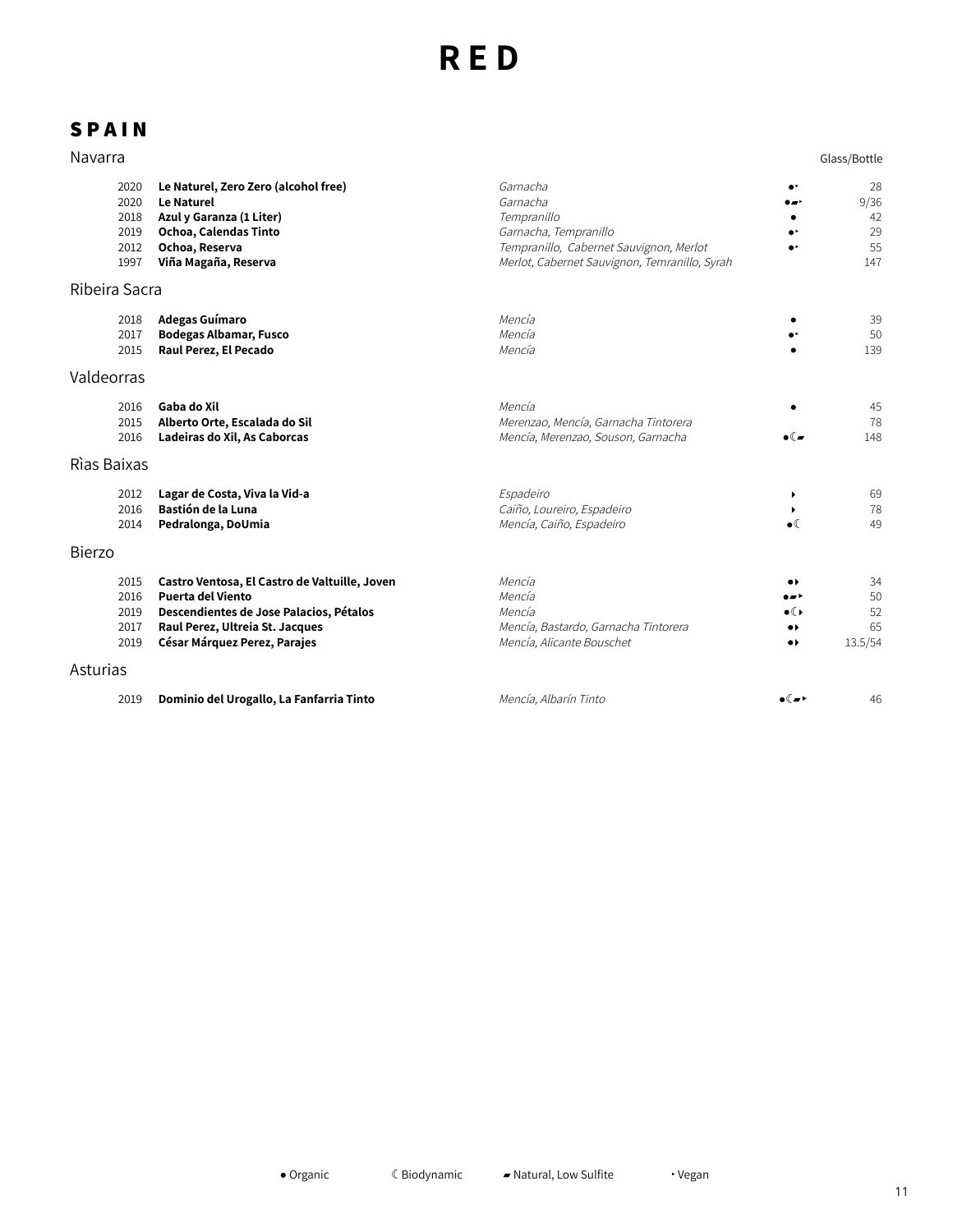| Navarra                                      |                                                                                                                                                                                         |                                                                                                                                                          |                                                                                                   | Glass/Bottle                        |
|----------------------------------------------|-----------------------------------------------------------------------------------------------------------------------------------------------------------------------------------------|----------------------------------------------------------------------------------------------------------------------------------------------------------|---------------------------------------------------------------------------------------------------|-------------------------------------|
| 2020<br>2020<br>2018<br>2019<br>2012<br>1997 | Le Naturel, Zero Zero (alcohol free)<br><b>Le Naturel</b><br>Azul y Garanza (1 Liter)<br>Ochoa, Calendas Tinto<br>Ochoa, Reserva<br>Viña Magaña, Reserva                                | Garnacha<br>Garnacha<br>Tempranillo<br>Garnacha, Tempranillo<br>Tempranillo, Cabernet Sauvignon, Merlot<br>Merlot, Cabernet Sauvignon, Temranillo, Syrah | ۰۰<br>ا د ه                                                                                       | 28<br>9/36<br>42<br>29<br>55<br>147 |
| Ribeira Sacra                                |                                                                                                                                                                                         |                                                                                                                                                          |                                                                                                   |                                     |
| 2018<br>2017<br>2015                         | Adegas Guímaro<br><b>Bodegas Albamar, Fusco</b><br>Raul Perez, El Pecado                                                                                                                | Mencía<br>Mencía<br>Mencía                                                                                                                               |                                                                                                   | 39<br>50<br>139                     |
| Valdeorras                                   |                                                                                                                                                                                         |                                                                                                                                                          |                                                                                                   |                                     |
| 2016<br>2015<br>2016                         | Gaba do Xil<br>Alberto Orte, Escalada do Sil<br>Ladeiras do Xil, As Caborcas                                                                                                            | Mencía<br>Merenzao, Mencía, Garnacha Tintorera<br>Mencía, Merenzao, Souson, Garnacha                                                                     | $\bullet$ ( $\blacksquare$                                                                        | 45<br>78<br>148                     |
| Rìas Baixas                                  |                                                                                                                                                                                         |                                                                                                                                                          |                                                                                                   |                                     |
| 2012<br>2016<br>2014                         | Lagar de Costa, Viva la Vid-a<br>Bastión de la Luna<br>Pedralonga, DoUmia                                                                                                               | Espadeiro<br>Caiño, Loureiro, Espadeiro<br>Mencía, Caiño, Espadeiro                                                                                      | $\blacktriangleright$<br>$\bullet$                                                                | 69<br>78<br>49                      |
| <b>Bierzo</b>                                |                                                                                                                                                                                         |                                                                                                                                                          |                                                                                                   |                                     |
| 2015<br>2016<br>2019<br>2017<br>2019         | Castro Ventosa, El Castro de Valtuille, Joven<br><b>Puerta del Viento</b><br>Descendientes de Jose Palacios, Pétalos<br>Raul Perez, Ultreia St. Jacques<br>César Márquez Perez, Parajes | Mencía<br>Mencía<br>Mencía<br>Mencía, Bastardo, Garnacha Tintorera<br>Mencía, Alicante Bouschet                                                          | $\bullet\blacktriangleright$<br>۰⊿۰<br>$\bullet$<br>$\bullet\ast$<br>$\bullet\blacktriangleright$ | 34<br>50<br>52<br>65<br>13.5/54     |
| Asturias                                     |                                                                                                                                                                                         |                                                                                                                                                          |                                                                                                   |                                     |
| 2019                                         | Dominio del Urogallo, La Fanfarria Tinto                                                                                                                                                | Mencía, Albarín Tinto                                                                                                                                    | ∙€∽∙                                                                                              | 46                                  |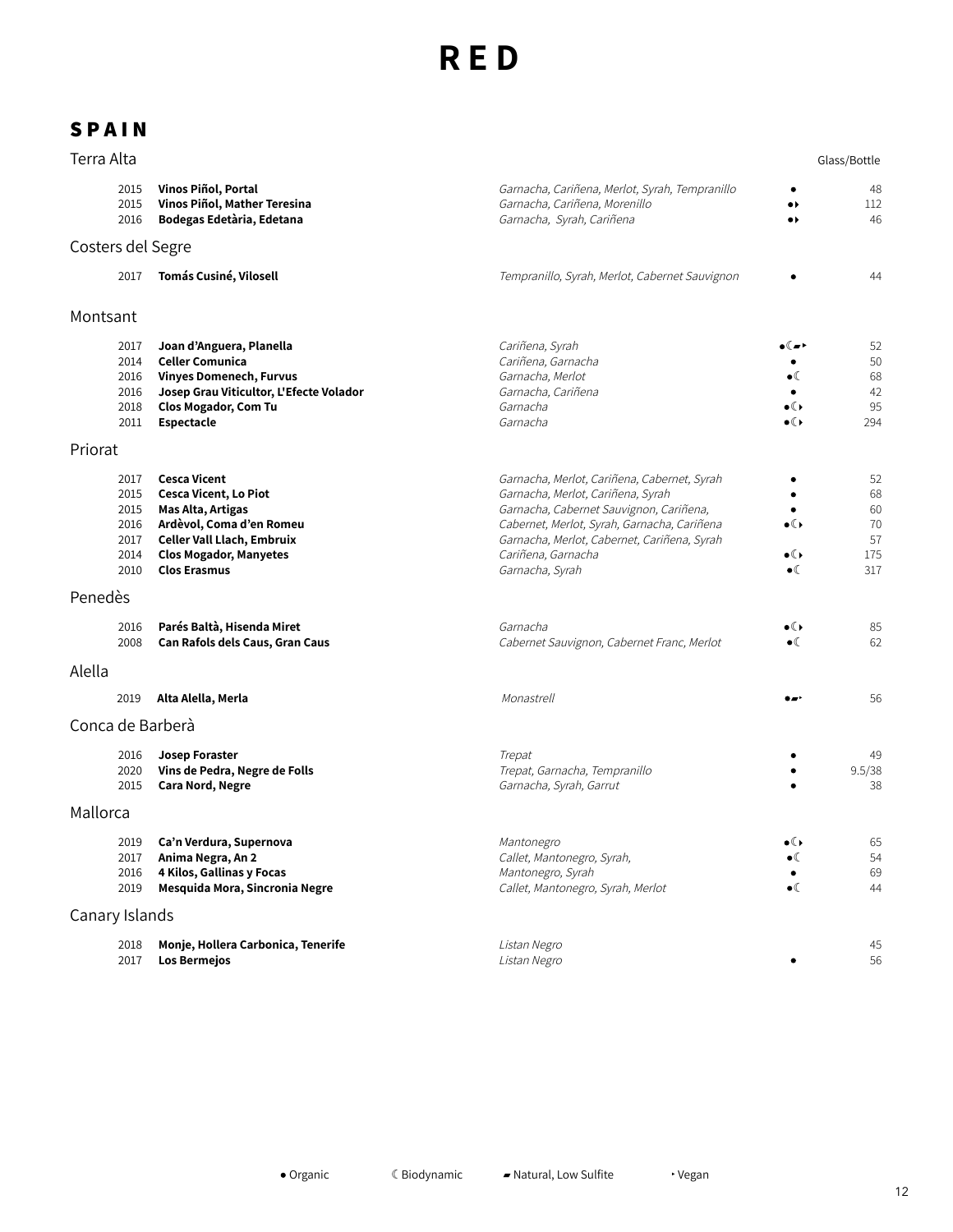| Terra Alta        |                                                      |                                                                                                                                                                                            |                                                                                                                                                                                                                                                                    |                                               | Glass/Bottle                             |
|-------------------|------------------------------------------------------|--------------------------------------------------------------------------------------------------------------------------------------------------------------------------------------------|--------------------------------------------------------------------------------------------------------------------------------------------------------------------------------------------------------------------------------------------------------------------|-----------------------------------------------|------------------------------------------|
|                   | 2015<br>2015<br>2016                                 | Vinos Piñol, Portal<br>Vinos Piñol, Mather Teresina<br>Bodegas Edetària, Edetana                                                                                                           | Garnacha, Cariñena, Merlot, Syrah, Tempranillo<br>Garnacha, Cariñena, Morenillo<br>Garnacha, Syrah, Cariñena                                                                                                                                                       | $\bullet\ast$<br>$\bullet\blacktriangleright$ | 48<br>112<br>46                          |
| Costers del Segre |                                                      |                                                                                                                                                                                            |                                                                                                                                                                                                                                                                    |                                               |                                          |
|                   | 2017                                                 | Tomás Cusiné, Vilosell                                                                                                                                                                     | Tempranillo, Syrah, Merlot, Cabernet Sauvignon                                                                                                                                                                                                                     |                                               | 44                                       |
| Montsant          |                                                      |                                                                                                                                                                                            |                                                                                                                                                                                                                                                                    |                                               |                                          |
|                   | 2017<br>2014<br>2016<br>2016<br>2018<br>2011         | Joan d'Anguera, Planella<br><b>Celler Comunica</b><br><b>Vinyes Domenech, Furvus</b><br>Josep Grau Viticultor, L'Efecte Volador<br><b>Clos Mogador, Com Tu</b><br>Espectacle               | Cariñena, Syrah<br>Cariñena, Garnacha<br>Garnacha, Merlot<br>Garnacha, Cariñena<br>Garnacha<br>Garnacha                                                                                                                                                            | ∙€∞∙<br>$\bullet$ (<br>∙€<br>$\bullet$ ( )    | 52<br>50<br>68<br>42<br>95<br>294        |
| Priorat           |                                                      |                                                                                                                                                                                            |                                                                                                                                                                                                                                                                    |                                               |                                          |
|                   | 2017<br>2015<br>2015<br>2016<br>2017<br>2014<br>2010 | <b>Cesca Vicent</b><br><b>Cesca Vicent, Lo Piot</b><br>Mas Alta, Artigas<br>Ardèvol, Coma d'en Romeu<br>Celler Vall Llach, Embruix<br><b>Clos Mogador, Manyetes</b><br><b>Clos Erasmus</b> | Garnacha, Merlot, Cariñena, Cabernet, Syrah<br>Garnacha, Merlot, Cariñena, Syrah<br>Garnacha, Cabernet Sauvignon, Cariñena,<br>Cabernet, Merlot, Syrah, Garnacha, Cariñena<br>Garnacha, Merlot, Cabernet, Cariñena, Syrah<br>Cariñena, Garnacha<br>Garnacha, Syrah | $\bullet$ ( )<br>∙€<br>$\bullet$ (            | 52<br>68<br>60<br>70<br>57<br>175<br>317 |
| Penedès           |                                                      |                                                                                                                                                                                            |                                                                                                                                                                                                                                                                    |                                               |                                          |
|                   | 2016<br>2008                                         | Parés Baltà, Hisenda Miret<br>Can Rafols dels Caus, Gran Caus                                                                                                                              | Garnacha<br>Cabernet Sauvignon, Cabernet Franc, Merlot                                                                                                                                                                                                             | ∙€<br>$\bullet$ (                             | 85<br>62                                 |
| Alella            |                                                      |                                                                                                                                                                                            |                                                                                                                                                                                                                                                                    |                                               |                                          |
|                   | 2019                                                 | Alta Alella, Merla                                                                                                                                                                         | Monastrell                                                                                                                                                                                                                                                         |                                               | 56                                       |
| Conca de Barberà  |                                                      |                                                                                                                                                                                            |                                                                                                                                                                                                                                                                    |                                               |                                          |
|                   | 2016<br>2020<br>2015                                 | Josep Foraster<br>Vins de Pedra, Negre de Folls<br><b>Cara Nord, Negre</b>                                                                                                                 | Trepat<br>Trepat, Garnacha, Tempranillo<br>Garnacha, Syrah, Garrut                                                                                                                                                                                                 |                                               | 49<br>9.5/38<br>38                       |
| Mallorca          |                                                      |                                                                                                                                                                                            |                                                                                                                                                                                                                                                                    |                                               |                                          |
|                   | 2019<br>2017<br>2016<br>2019                         | Ca'n Verdura, Supernova<br>Anima Negra, An 2<br>4 Kilos, Gallinas y Focas<br>Mesquida Mora, Sincronia Negre                                                                                | Mantonegro<br>Callet, Mantonegro, Syrah,<br>Mantonegro, Syrah<br>Callet, Mantonegro, Syrah, Merlot                                                                                                                                                                 | $\bullet$ ( )<br>$\bullet$ (<br>$\bullet$ (   | 65<br>54<br>69<br>44                     |
| Canary Islands    |                                                      |                                                                                                                                                                                            |                                                                                                                                                                                                                                                                    |                                               |                                          |
|                   | 2018<br>2017                                         | Monje, Hollera Carbonica, Tenerife<br>Los Bermejos                                                                                                                                         | Listan Negro<br>Listan Negro                                                                                                                                                                                                                                       |                                               | 45<br>56                                 |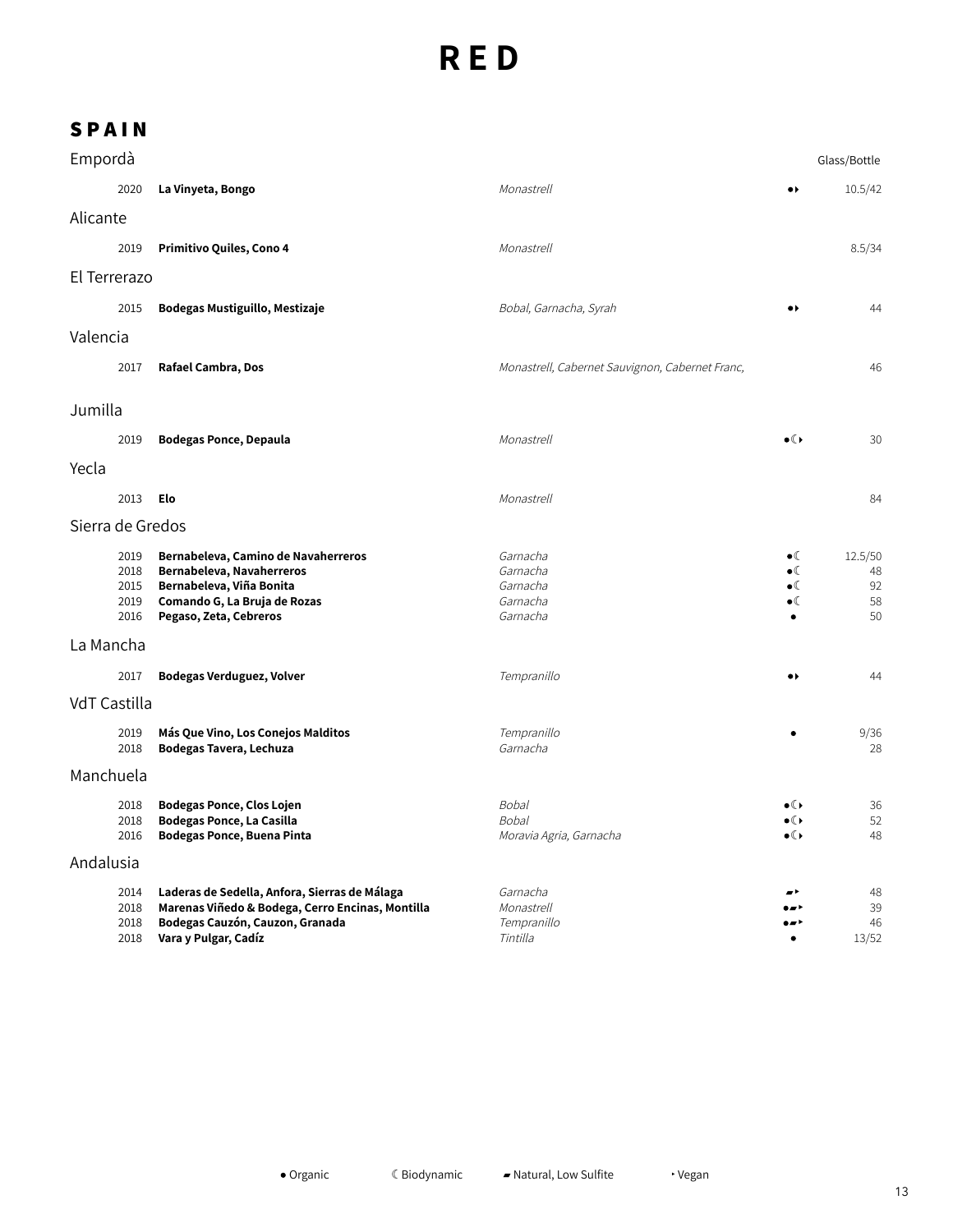| Empordà          |                                      |                                                                                                                                                              |                                                          |                                                                 | Glass/Bottle                    |  |
|------------------|--------------------------------------|--------------------------------------------------------------------------------------------------------------------------------------------------------------|----------------------------------------------------------|-----------------------------------------------------------------|---------------------------------|--|
|                  | 2020                                 | La Vinyeta, Bongo                                                                                                                                            | Monastrell                                               | $\bullet$                                                       | 10.5/42                         |  |
| Alicante         |                                      |                                                                                                                                                              |                                                          |                                                                 |                                 |  |
|                  | 2019                                 | Primitivo Quiles, Cono 4                                                                                                                                     | Monastrell                                               |                                                                 | 8.5/34                          |  |
| El Terrerazo     |                                      |                                                                                                                                                              |                                                          |                                                                 |                                 |  |
|                  | 2015                                 | Bodegas Mustiguillo, Mestizaje                                                                                                                               | Bobal, Garnacha, Syrah                                   | $\bullet\star$                                                  | 44                              |  |
| Valencia         |                                      |                                                                                                                                                              |                                                          |                                                                 |                                 |  |
|                  | 2017                                 | Rafael Cambra, Dos                                                                                                                                           | Monastrell, Cabernet Sauvignon, Cabernet Franc,          |                                                                 | 46                              |  |
| Jumilla          |                                      |                                                                                                                                                              |                                                          |                                                                 |                                 |  |
|                  | 2019                                 | <b>Bodegas Ponce, Depaula</b>                                                                                                                                | Monastrell                                               | $\bullet$                                                       | 30                              |  |
| Yecla            |                                      |                                                                                                                                                              |                                                          |                                                                 |                                 |  |
|                  | 2013                                 | Elo                                                                                                                                                          | Monastrell                                               |                                                                 | 84                              |  |
| Sierra de Gredos |                                      |                                                                                                                                                              |                                                          |                                                                 |                                 |  |
|                  | 2019<br>2018<br>2015<br>2019<br>2016 | Bernabeleva, Camino de Navaherreros<br>Bernabeleva, Navaherreros<br>Bernabeleva, Viña Bonita<br>Comando G, La Bruja de Rozas<br>Pegaso, Zeta, Cebreros       | Garnacha<br>Garnacha<br>Garnacha<br>Garnacha<br>Garnacha | $\bullet$<br>$\bullet$<br>$\bullet$<br>$\bullet$ (<br>$\bullet$ | 12.5/50<br>48<br>92<br>58<br>50 |  |
| La Mancha        |                                      |                                                                                                                                                              |                                                          |                                                                 |                                 |  |
|                  | 2017                                 | Bodegas Verduguez, Volver                                                                                                                                    | Tempranillo                                              | $\bullet\blacktriangleright$                                    | 44                              |  |
| VdT Castilla     |                                      |                                                                                                                                                              |                                                          |                                                                 |                                 |  |
|                  | 2019<br>2018                         | Más Que Vino, Los Conejos Malditos<br>Bodegas Tavera, Lechuza                                                                                                | Tempranillo<br>Garnacha                                  |                                                                 | 9/36<br>28                      |  |
|                  | Manchuela                            |                                                                                                                                                              |                                                          |                                                                 |                                 |  |
|                  | 2018<br>2018<br>2016                 | <b>Bodegas Ponce, Clos Lojen</b><br><b>Bodegas Ponce, La Casilla</b><br>Bodegas Ponce, Buena Pinta                                                           | <b>Bobal</b><br><b>Bobal</b><br>Moravia Agria, Garnacha  | $\bullet$ ( )<br>$\bullet$ ( )<br>$\bullet$ ( )                 | 36<br>52<br>48                  |  |
| Andalusia        |                                      |                                                                                                                                                              |                                                          |                                                                 |                                 |  |
|                  | 2014<br>2018<br>2018<br>2018         | Laderas de Sedella, Anfora, Sierras de Málaga<br>Marenas Viñedo & Bodega, Cerro Encinas, Montilla<br>Bodegas Cauzón, Cauzon, Granada<br>Vara y Pulgar, Cadíz | Garnacha<br>Monastrell<br>Tempranillo<br>Tintilla        | - '<br>$\bullet$                                                | 48<br>39<br>46<br>13/52         |  |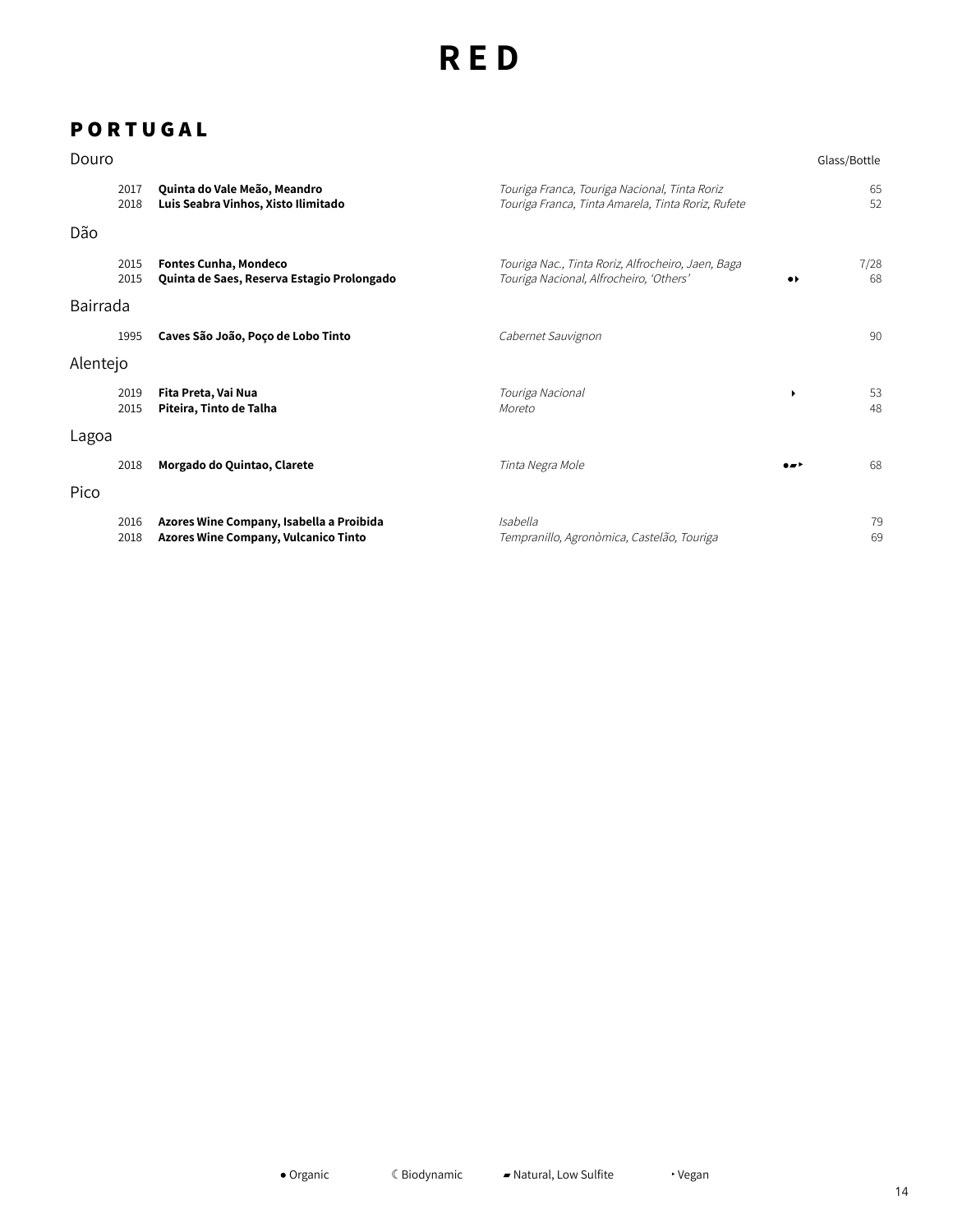## **P O R T U G A L**

| Douro    |              |                                                                                         |                                                                                                     |                              | Glass/Bottle |
|----------|--------------|-----------------------------------------------------------------------------------------|-----------------------------------------------------------------------------------------------------|------------------------------|--------------|
|          | 2017<br>2018 | Quinta do Vale Meão, Meandro<br>Luis Seabra Vinhos, Xisto Ilimitado                     | Touriga Franca, Touriga Nacional, Tinta Roriz<br>Touriga Franca, Tinta Amarela, Tinta Roriz, Rufete |                              | 65<br>52     |
| Dão      |              |                                                                                         |                                                                                                     |                              |              |
|          | 2015<br>2015 | <b>Fontes Cunha, Mondeco</b><br>Quinta de Saes, Reserva Estagio Prolongado              | Touriga Nac., Tinta Roriz, Alfrocheiro, Jaen, Baga<br>Touriga Nacional, Alfrocheiro, 'Others'       | $\bullet\blacktriangleright$ | 7/28<br>68   |
| Bairrada |              |                                                                                         |                                                                                                     |                              |              |
|          | 1995         | Caves São João, Poço de Lobo Tinto                                                      | Cabernet Sauvignon                                                                                  |                              | 90           |
| Alentejo |              |                                                                                         |                                                                                                     |                              |              |
|          | 2019<br>2015 | Fita Preta, Vai Nua<br>Piteira, Tinto de Talha                                          | Touriga Nacional<br>Moreto                                                                          |                              | 53<br>48     |
| Lagoa    |              |                                                                                         |                                                                                                     |                              |              |
|          | 2018         | Morgado do Quintao, Clarete                                                             | Tinta Negra Mole                                                                                    | $\bullet$                    | 68           |
| Pico     |              |                                                                                         |                                                                                                     |                              |              |
|          | 2016<br>2018 | Azores Wine Company, Isabella a Proibida<br><b>Azores Wine Company, Vulcanico Tinto</b> | Isabella<br>Tempranillo, Agronòmica, Castelão, Touriga                                              |                              | 79<br>69     |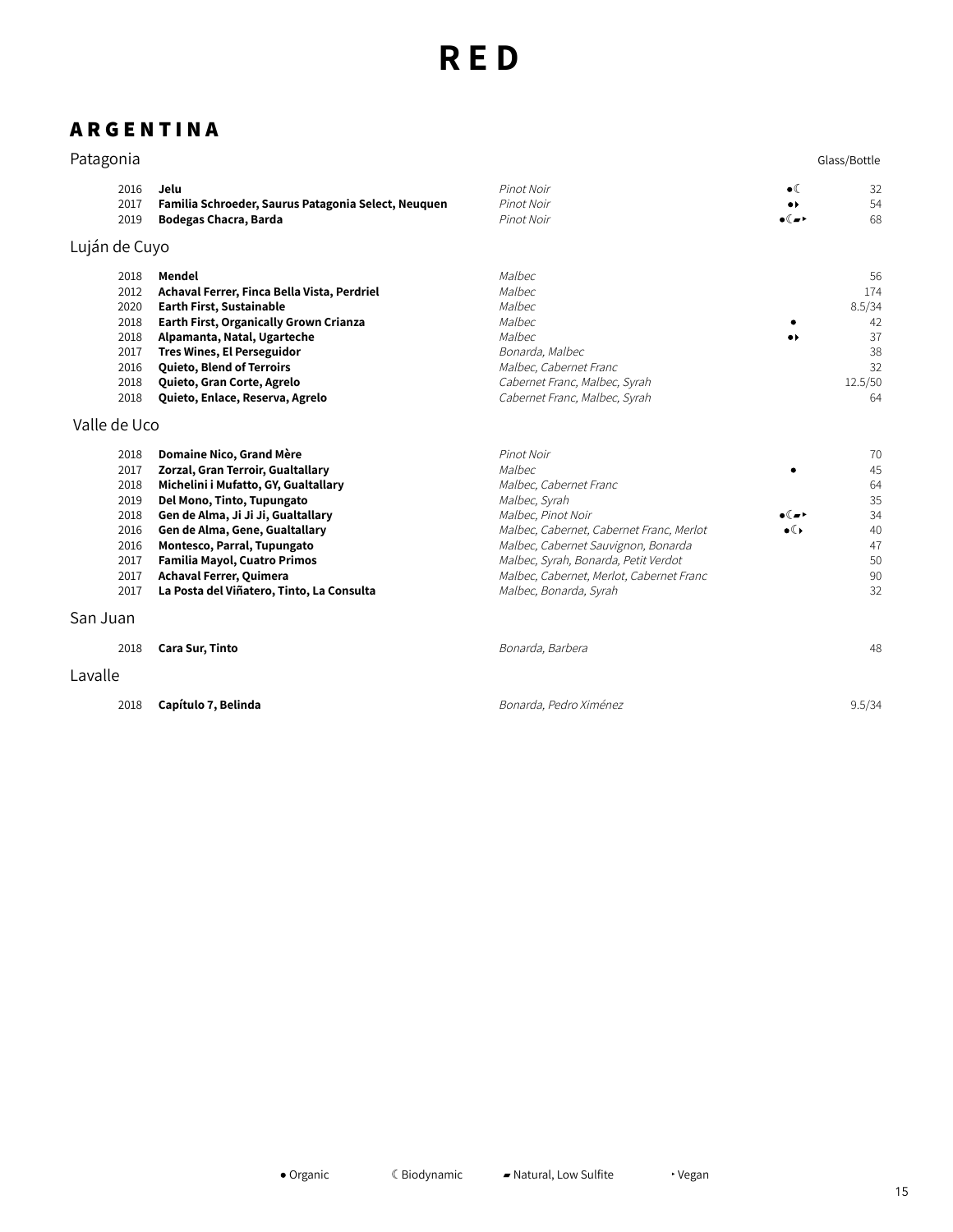# **A R G E N T I N A**

| Patagonia                                                                    |                                                                                                                                                                                                                                                                                                                                                           |                                                                                                                                                                                                                                                                                        |                                                                        | Glass/Bottle                                                 |
|------------------------------------------------------------------------------|-----------------------------------------------------------------------------------------------------------------------------------------------------------------------------------------------------------------------------------------------------------------------------------------------------------------------------------------------------------|----------------------------------------------------------------------------------------------------------------------------------------------------------------------------------------------------------------------------------------------------------------------------------------|------------------------------------------------------------------------|--------------------------------------------------------------|
| 2016<br>2017<br>2019                                                         | Jelu<br>Familia Schroeder, Saurus Patagonia Select, Neuquen<br>Bodegas Chacra, Barda                                                                                                                                                                                                                                                                      | Pinot Noir<br>Pinot Noir<br>Pinot Noir                                                                                                                                                                                                                                                 | $\bullet$ (<br>$\bullet\blacktriangleright$<br>$\bullet$ ( $\bullet$ ) | 32<br>54<br>68                                               |
| Luján de Cuyo                                                                |                                                                                                                                                                                                                                                                                                                                                           |                                                                                                                                                                                                                                                                                        |                                                                        |                                                              |
| 2018<br>2012<br>2020<br>2018<br>2018<br>2017<br>2016<br>2018<br>2018         | Mendel<br>Achaval Ferrer, Finca Bella Vista, Perdriel<br><b>Earth First, Sustainable</b><br><b>Earth First, Organically Grown Crianza</b><br>Alpamanta, Natal, Ugarteche<br><b>Tres Wines, El Perseguidor</b><br>Quieto, Blend of Terroirs<br>Quieto, Gran Corte, Agrelo<br>Quieto, Enlace, Reserva, Agrelo                                               | Malbec<br>Malbec<br>Malbec<br>Malbec<br>Malbec<br>Bonarda, Malbec<br>Malbec, Cabernet Franc<br>Cabernet Franc, Malbec, Syrah<br>Cabernet Franc, Malbec, Syrah                                                                                                                          | $\bullet\blacktriangleright$                                           | 56<br>174<br>8.5/34<br>42<br>37<br>38<br>32<br>12.5/50<br>64 |
| Valle de Uco                                                                 |                                                                                                                                                                                                                                                                                                                                                           |                                                                                                                                                                                                                                                                                        |                                                                        |                                                              |
| 2018<br>2017<br>2018<br>2019<br>2018<br>2016<br>2016<br>2017<br>2017<br>2017 | Domaine Nico, Grand Mère<br>Zorzal, Gran Terroir, Gualtallary<br>Michelini i Mufatto, GY, Gualtallary<br>Del Mono, Tinto, Tupungato<br>Gen de Alma, Ji Ji Ji, Gualtallary<br>Gen de Alma, Gene, Gualtallary<br>Montesco, Parral, Tupungato<br><b>Familia Mayol, Cuatro Primos</b><br>Achaval Ferrer, Quimera<br>La Posta del Viñatero, Tinto, La Consulta | Pinot Noir<br>Malbec<br>Malbec, Cabernet Franc<br>Malbec, Syrah<br>Malbec, Pinot Noir<br>Malbec, Cabernet, Cabernet Franc, Merlot<br>Malbec, Cabernet Sauvignon, Bonarda<br>Malbec, Syrah, Bonarda, Petit Verdot<br>Malbec, Cabernet, Merlot, Cabernet Franc<br>Malbec, Bonarda, Syrah | ∙∝∍<br>$\bullet$                                                       | 70<br>45<br>64<br>35<br>34<br>40<br>47<br>50<br>90<br>32     |
| San Juan                                                                     |                                                                                                                                                                                                                                                                                                                                                           |                                                                                                                                                                                                                                                                                        |                                                                        |                                                              |
| 2018                                                                         | Cara Sur, Tinto                                                                                                                                                                                                                                                                                                                                           | Bonarda, Barbera                                                                                                                                                                                                                                                                       |                                                                        | 48                                                           |
| Lavalle                                                                      |                                                                                                                                                                                                                                                                                                                                                           |                                                                                                                                                                                                                                                                                        |                                                                        |                                                              |
| 2018                                                                         | Capítulo 7, Belinda                                                                                                                                                                                                                                                                                                                                       | Bonarda, Pedro Ximénez                                                                                                                                                                                                                                                                 |                                                                        | 9.5/34                                                       |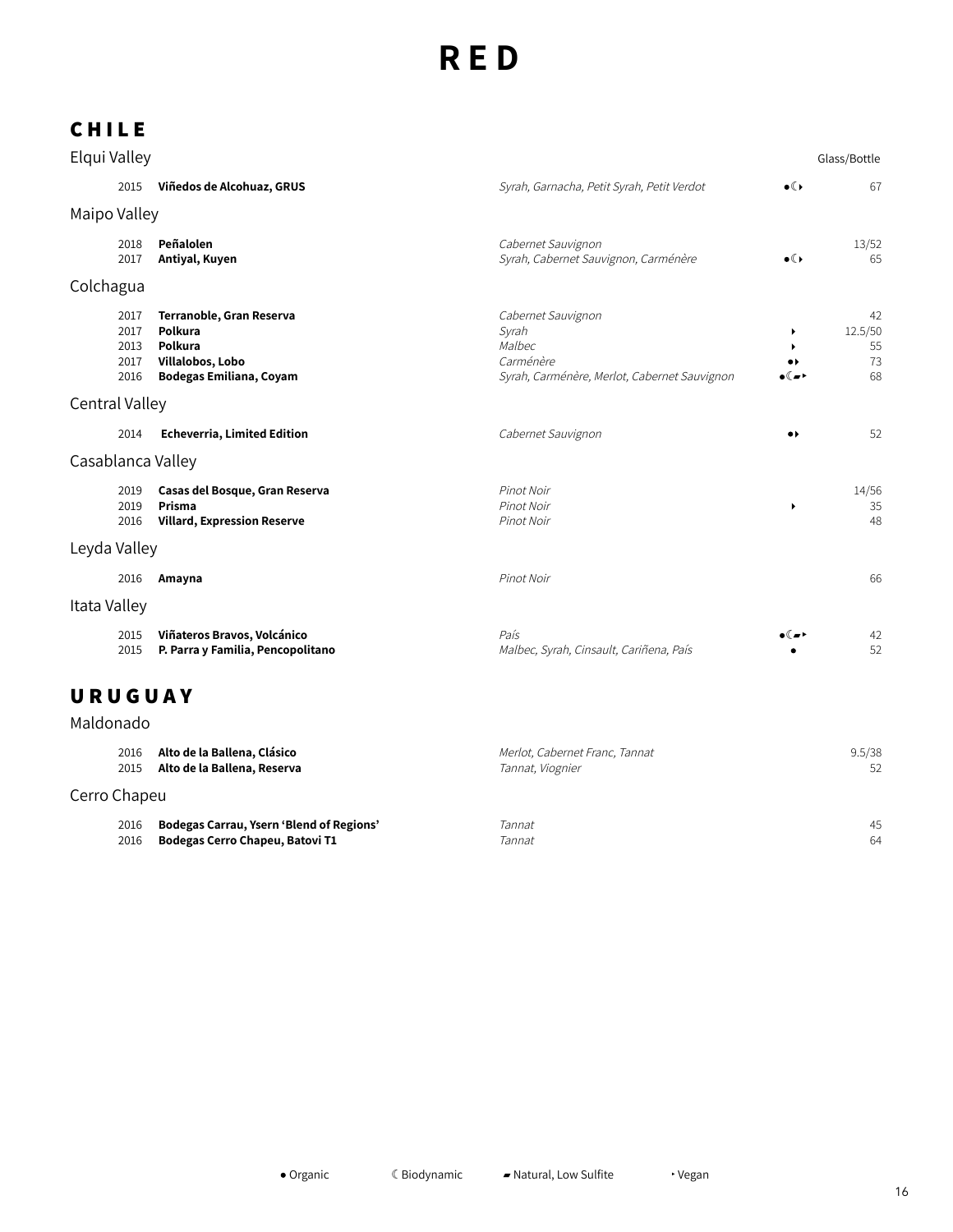## **C H I L E**

| Elqui Valley                         |                                                                                               |                                                                                                    |                                           | Glass/Bottle                    |
|--------------------------------------|-----------------------------------------------------------------------------------------------|----------------------------------------------------------------------------------------------------|-------------------------------------------|---------------------------------|
| 2015                                 | Viñedos de Alcohuaz, GRUS                                                                     | Syrah, Garnacha, Petit Syrah, Petit Verdot                                                         | $\bullet$                                 | 67                              |
| Maipo Valley                         |                                                                                               |                                                                                                    |                                           |                                 |
| 2018<br>2017                         | Peñalolen<br>Antiyal, Kuyen                                                                   | Cabernet Sauvignon<br>Syrah, Cabernet Sauvignon, Carménère                                         | $\bullet$ ( )                             | 13/52<br>65                     |
| Colchagua                            |                                                                                               |                                                                                                    |                                           |                                 |
| 2017<br>2017<br>2013<br>2017<br>2016 | Terranoble, Gran Reserva<br>Polkura<br>Polkura<br>Villalobos, Lobo<br>Bodegas Emiliana, Coyam | Cabernet Sauvignon<br>Syrah<br>Malbec<br>Carménère<br>Syrah, Carménère, Merlot, Cabernet Sauvignon | ٠<br>$\bullet\blacktriangleright$<br>( "∗ | 42<br>12.5/50<br>55<br>73<br>68 |
| Central Valley                       |                                                                                               |                                                                                                    |                                           |                                 |
| 2014                                 | <b>Echeverria, Limited Edition</b>                                                            | Cabernet Sauvignon                                                                                 | $\bullet\,\flat$                          | 52                              |
| Casablanca Valley                    |                                                                                               |                                                                                                    |                                           |                                 |
| 2019<br>2019<br>2016                 | Casas del Bosque, Gran Reserva<br>Prisma<br><b>Villard, Expression Reserve</b>                | Pinot Noir<br>Pinot Noir<br>Pinot Noir                                                             | $\blacktriangleright$                     | 14/56<br>35<br>48               |
| Leyda Valley                         |                                                                                               |                                                                                                    |                                           |                                 |
| 2016                                 | Amayna                                                                                        | Pinot Noir                                                                                         |                                           | 66                              |
| Itata Valley                         |                                                                                               |                                                                                                    |                                           |                                 |
| 2015<br>2015                         | Viñateros Bravos, Volcánico<br>P. Parra y Familia, Pencopolitano                              | País<br>Malbec, Syrah, Cinsault, Cariñena, País                                                    | ۱ ∞ ) ه                                   | 42<br>52                        |

## **U R U G U A Y**

# Maldonado

| 2016         | Alto de la Ballena, Clásico                     | Merlot, Cabernet Franc, Tannat | 9.5/38 |
|--------------|-------------------------------------------------|--------------------------------|--------|
| 2015         | Alto de la Ballena, Reserva                     | Tannat, Viognier               | 52     |
| Cerro Chapeu |                                                 |                                |        |
| 2016         | <b>Bodegas Carrau, Ysern 'Blend of Regions'</b> | Tannat                         | 45     |
| 2016         | Bodegas Cerro Chapeu, Batovi T1                 | Tannat                         | 64     |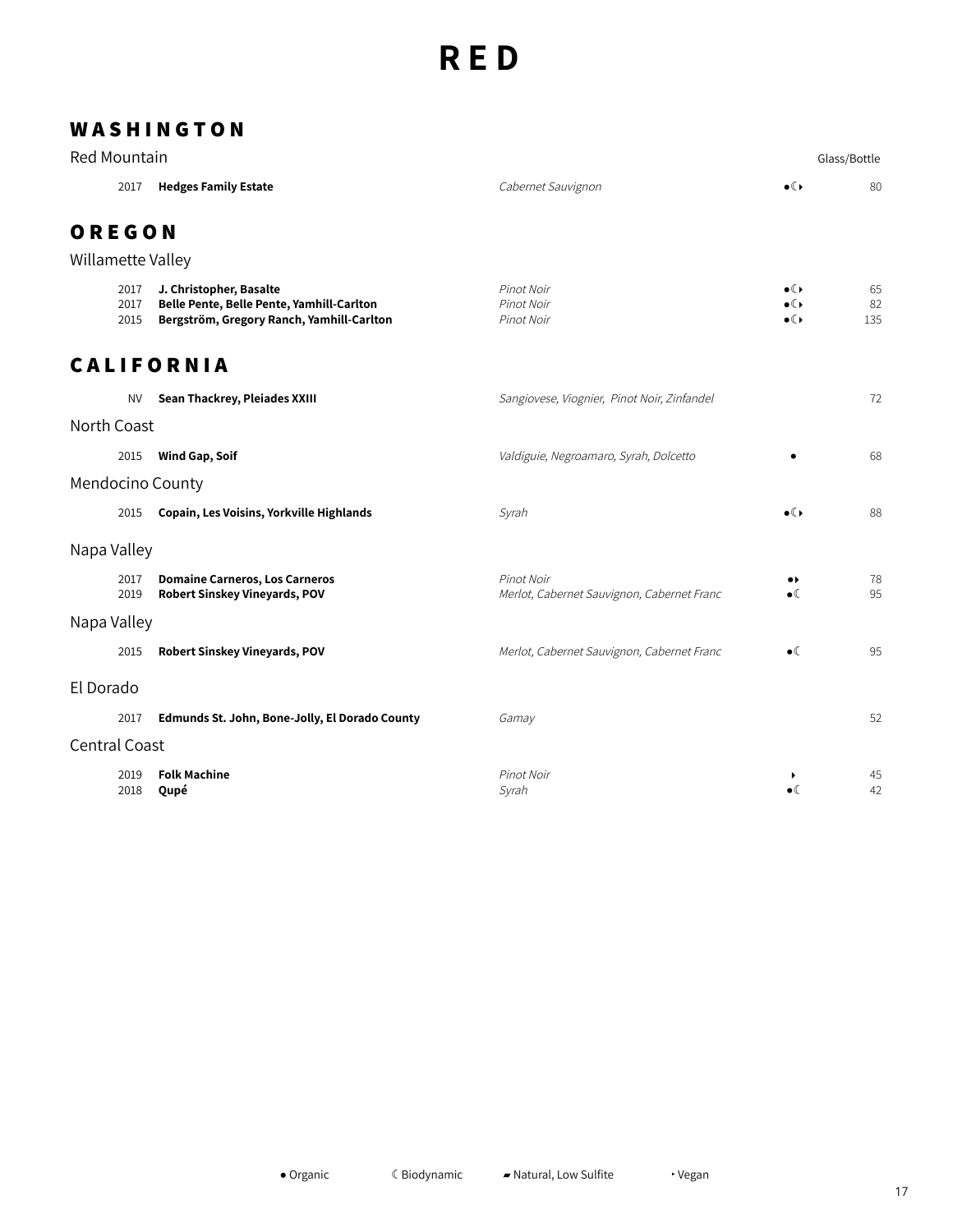## **W A S H I N G T O N**

| <b>Red Mountain</b>  |                      |                                                                                                                   |                                                          |                                             | Glass/Bottle    |
|----------------------|----------------------|-------------------------------------------------------------------------------------------------------------------|----------------------------------------------------------|---------------------------------------------|-----------------|
|                      | 2017                 | <b>Hedges Family Estate</b>                                                                                       | Cabernet Sauvignon                                       | $\bullet$ ( )                               | 80              |
| OREGON               |                      |                                                                                                                   |                                                          |                                             |                 |
| Willamette Valley    |                      |                                                                                                                   |                                                          |                                             |                 |
|                      | 2017<br>2017<br>2015 | J. Christopher, Basalte<br>Belle Pente, Belle Pente, Yamhill-Carlton<br>Bergström, Gregory Ranch, Yamhill-Carlton | Pinot Noir<br>Pinot Noir<br>Pinot Noir                   | $\bullet$ ( )<br>$\bullet$ ( )<br>$\bullet$ | 65<br>82<br>135 |
|                      |                      | <b>CALIFORNIA</b>                                                                                                 |                                                          |                                             |                 |
|                      | <b>NV</b>            | Sean Thackrey, Pleiades XXIII                                                                                     | Sangiovese, Viognier, Pinot Noir, Zinfandel              |                                             | 72              |
| North Coast          |                      |                                                                                                                   |                                                          |                                             |                 |
|                      | 2015                 | <b>Wind Gap, Soif</b>                                                                                             | Valdiguie, Negroamaro, Syrah, Dolcetto                   |                                             | 68              |
|                      |                      | Mendocino County                                                                                                  |                                                          |                                             |                 |
|                      | 2015                 | Copain, Les Voisins, Yorkville Highlands                                                                          | Syrah                                                    | $\bullet$ ( )                               | 88              |
| Napa Valley          |                      |                                                                                                                   |                                                          |                                             |                 |
|                      | 2017<br>2019         | <b>Domaine Carneros, Los Carneros</b><br><b>Robert Sinskey Vineyards, POV</b>                                     | Pinot Noir<br>Merlot, Cabernet Sauvignon, Cabernet Franc | $\bullet\ast$<br>$\bullet$ (                | 78<br>95        |
| Napa Valley          |                      |                                                                                                                   |                                                          |                                             |                 |
|                      | 2015                 | Robert Sinskey Vineyards, POV                                                                                     | Merlot, Cabernet Sauvignon, Cabernet Franc               | $\bullet$                                   | 95              |
| El Dorado            |                      |                                                                                                                   |                                                          |                                             |                 |
|                      | 2017                 | Edmunds St. John, Bone-Jolly, El Dorado County                                                                    | Gamay                                                    |                                             | 52              |
| <b>Central Coast</b> |                      |                                                                                                                   |                                                          |                                             |                 |
|                      | 2019<br>2018         | <b>Folk Machine</b><br>Qupé                                                                                       | Pinot Noir<br>Syrah                                      | ▶<br>$\bullet$                              | 45<br>42        |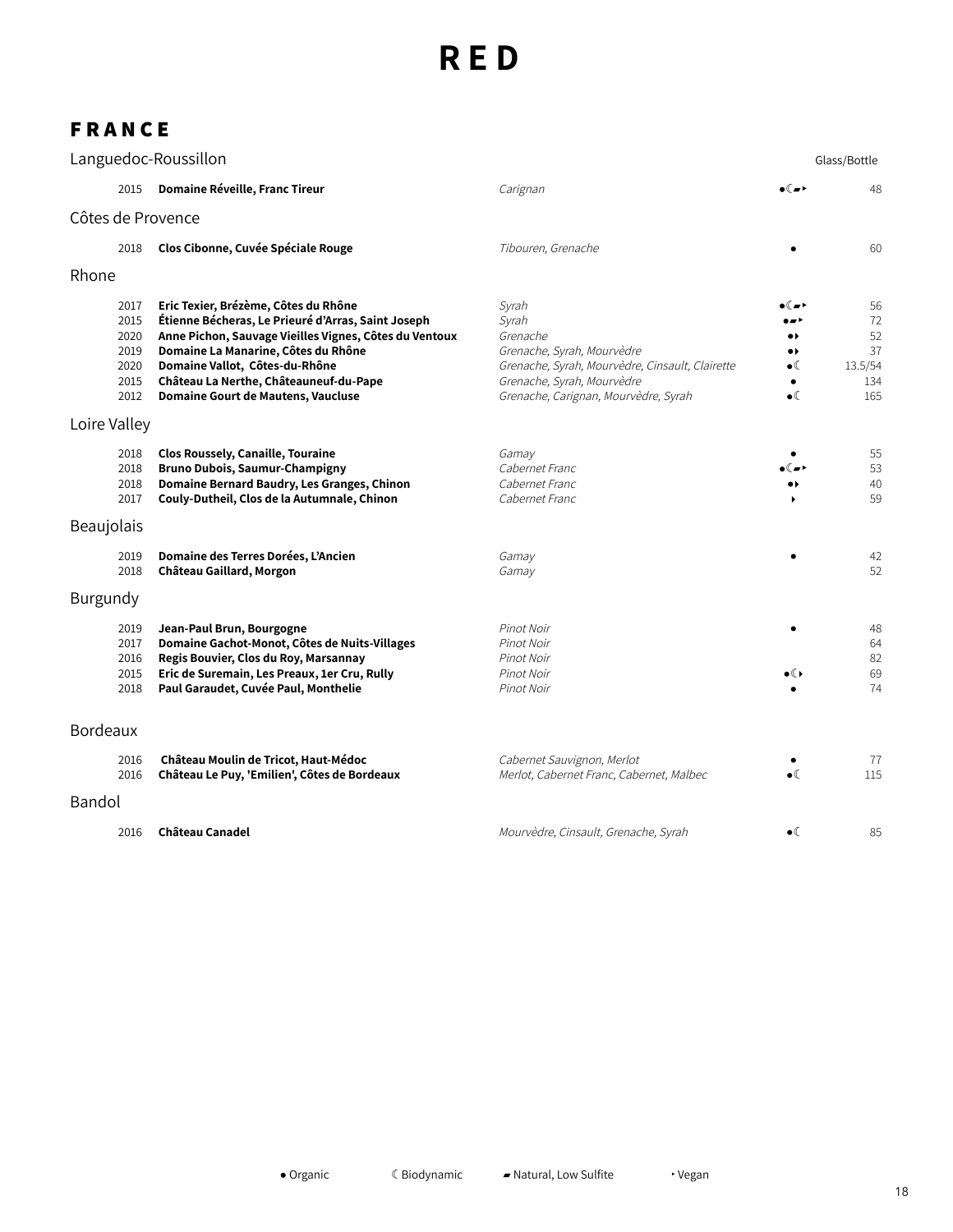### **F R A N C E**

|              |                                                      | Languedoc-Roussillon                                                                                                                                                                                                                                                                                          |                                                                                                                                                                                   |                                                                       | Glass/Bottle                                  |
|--------------|------------------------------------------------------|---------------------------------------------------------------------------------------------------------------------------------------------------------------------------------------------------------------------------------------------------------------------------------------------------------------|-----------------------------------------------------------------------------------------------------------------------------------------------------------------------------------|-----------------------------------------------------------------------|-----------------------------------------------|
|              | 2015                                                 | Domaine Réveille, Franc Tireur                                                                                                                                                                                                                                                                                | Carignan                                                                                                                                                                          | ۱⊿) ه                                                                 | 48                                            |
|              |                                                      | Côtes de Provence                                                                                                                                                                                                                                                                                             |                                                                                                                                                                                   |                                                                       |                                               |
|              | 2018                                                 | Clos Cibonne, Cuvée Spéciale Rouge                                                                                                                                                                                                                                                                            | Tibouren, Grenache                                                                                                                                                                |                                                                       | 60                                            |
| Rhone        |                                                      |                                                                                                                                                                                                                                                                                                               |                                                                                                                                                                                   |                                                                       |                                               |
|              | 2017<br>2015<br>2020<br>2019<br>2020<br>2015<br>2012 | Eric Texier, Brézème, Côtes du Rhône<br>Étienne Bécheras, Le Prieuré d'Arras, Saint Joseph<br>Anne Pichon, Sauvage Vieilles Vignes, Côtes du Ventoux<br>Domaine La Manarine, Côtes du Rhône<br>Domaine Vallot, Côtes-du-Rhône<br>Château La Nerthe, Châteauneuf-du-Pape<br>Domaine Gourt de Mautens, Vaucluse | Syrah<br>Syrah<br>Grenache<br>Grenache, Syrah, Mourvèdre<br>Grenache, Syrah, Mourvèdre, Cinsault, Clairette<br>Grenache, Syrah, Mourvèdre<br>Grenache, Carignan, Mourvèdre, Syrah | .,<br>$\bullet\blacktriangleright$<br>$\bullet$ (<br>٠<br>$\bullet$ ( | 56<br>72<br>52<br>37<br>13.5/54<br>134<br>165 |
| Loire Valley |                                                      |                                                                                                                                                                                                                                                                                                               |                                                                                                                                                                                   |                                                                       |                                               |
|              | 2018<br>2018<br>2018<br>2017                         | <b>Clos Roussely, Canaille, Touraine</b><br><b>Bruno Dubois, Saumur-Champigny</b><br>Domaine Bernard Baudry, Les Granges, Chinon<br>Couly-Dutheil, Clos de la Autumnale, Chinon                                                                                                                               | Gamay<br>Cabernet Franc<br>Cabernet Franc<br>Cabernet Franc                                                                                                                       |                                                                       | 55<br>53<br>40<br>59                          |
| Beaujolais   |                                                      |                                                                                                                                                                                                                                                                                                               |                                                                                                                                                                                   |                                                                       |                                               |
|              | 2019<br>2018                                         | Domaine des Terres Dorées, L'Ancien<br>Château Gaillard, Morgon                                                                                                                                                                                                                                               | Gamay<br>Gamay                                                                                                                                                                    |                                                                       | 42<br>52                                      |
| Burgundy     |                                                      |                                                                                                                                                                                                                                                                                                               |                                                                                                                                                                                   |                                                                       |                                               |
|              | 2019<br>2017<br>2016<br>2015<br>2018                 | Jean-Paul Brun, Bourgogne<br>Domaine Gachot-Monot, Côtes de Nuits-Villages<br>Regis Bouvier, Clos du Roy, Marsannay<br>Eric de Suremain, Les Preaux, 1er Cru, Rully<br>Paul Garaudet, Cuvée Paul, Monthelie                                                                                                   | Pinot Noir<br>Pinot Noir<br>Pinot Noir<br>Pinot Noir<br>Pinot Noir                                                                                                                | $\bullet$ ( )                                                         | 48<br>64<br>82<br>69<br>74                    |
| Bordeaux     |                                                      |                                                                                                                                                                                                                                                                                                               |                                                                                                                                                                                   |                                                                       |                                               |
|              | 2016<br>2016                                         | Château Moulin de Tricot, Haut-Médoc<br>Château Le Puy, 'Emilien', Côtes de Bordeaux                                                                                                                                                                                                                          | Cabernet Sauvignon, Merlot<br>Merlot, Cabernet Franc, Cabernet, Malbec                                                                                                            | $\bullet$                                                             | 77<br>115                                     |
| Bandol       |                                                      |                                                                                                                                                                                                                                                                                                               |                                                                                                                                                                                   |                                                                       |                                               |
|              | 2016                                                 | <b>Château Canadel</b>                                                                                                                                                                                                                                                                                        | Mourvèdre, Cinsault, Grenache, Syrah                                                                                                                                              | $\bullet$ (                                                           | 85                                            |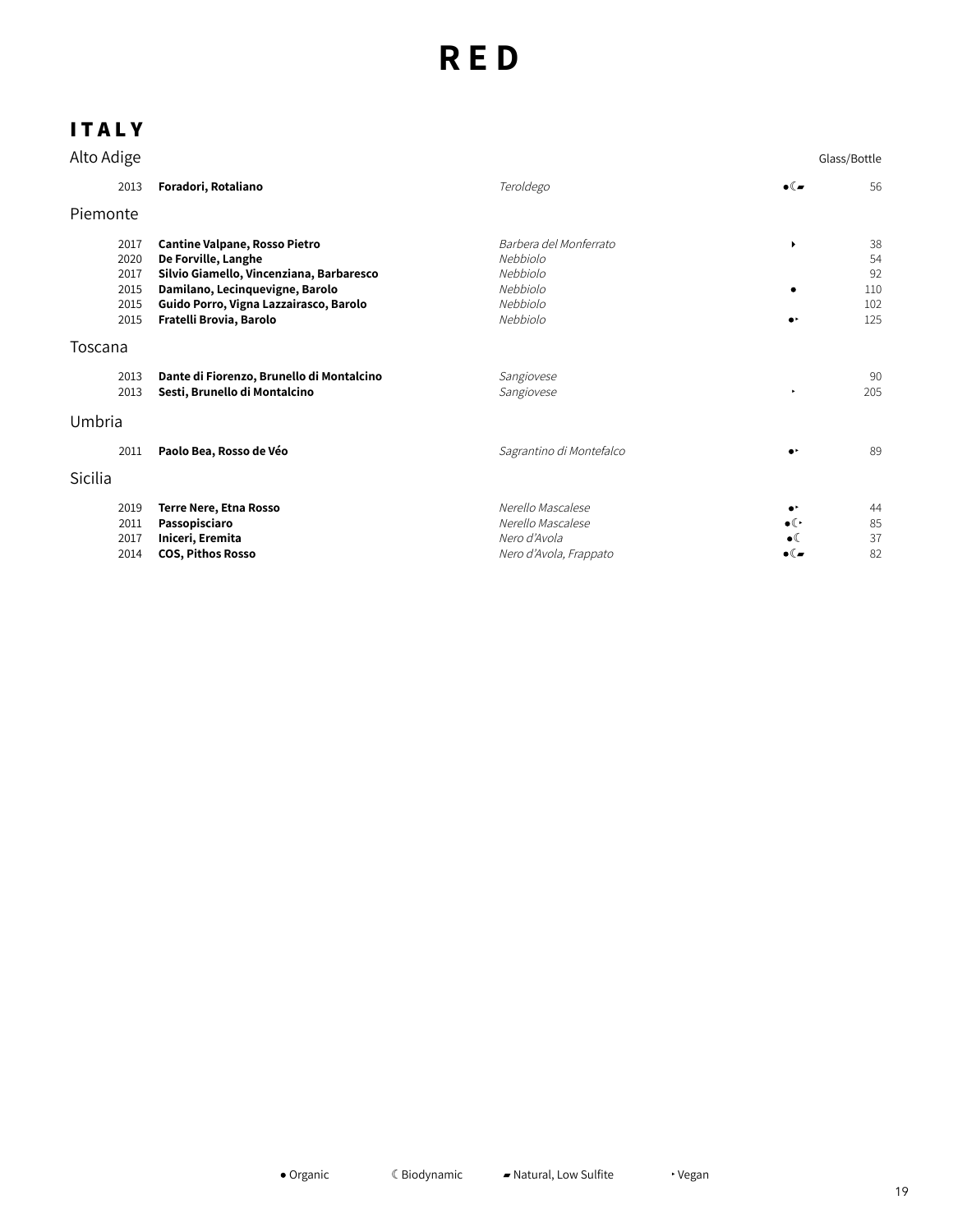# **I T A L Y**

| Alto Adige                                   |                                                                                                                                                                                                                 |                                                                                    |                                                                        | Glass/Bottle                        |
|----------------------------------------------|-----------------------------------------------------------------------------------------------------------------------------------------------------------------------------------------------------------------|------------------------------------------------------------------------------------|------------------------------------------------------------------------|-------------------------------------|
| 2013                                         | Foradori, Rotaliano                                                                                                                                                                                             | Teroldego                                                                          | $\bullet$ ( $\bullet$                                                  | 56                                  |
| Piemonte                                     |                                                                                                                                                                                                                 |                                                                                    |                                                                        |                                     |
| 2017<br>2020<br>2017<br>2015<br>2015<br>2015 | <b>Cantine Valpane, Rosso Pietro</b><br>De Forville, Langhe<br>Silvio Giamello, Vincenziana, Barbaresco<br>Damilano, Lecinquevigne, Barolo<br>Guido Porro, Vigna Lazzairasco, Barolo<br>Fratelli Brovia, Barolo | Barbera del Monferrato<br>Nebbiolo<br>Nebbiolo<br>Nebbiolo<br>Nebbiolo<br>Nebbiolo | ٠<br>c<br>$\bullet$                                                    | 38<br>54<br>92<br>110<br>102<br>125 |
| Toscana                                      |                                                                                                                                                                                                                 |                                                                                    |                                                                        |                                     |
| 2013<br>2013                                 | Dante di Fiorenzo, Brunello di Montalcino<br>Sesti, Brunello di Montalcino                                                                                                                                      | Sangiovese<br>Sangiovese                                                           | ٠                                                                      | 90<br>205                           |
| Umbria                                       |                                                                                                                                                                                                                 |                                                                                    |                                                                        |                                     |
| 2011                                         | Paolo Bea, Rosso de Véo                                                                                                                                                                                         | Sagrantino di Montefalco                                                           |                                                                        | 89                                  |
| Sicilia                                      |                                                                                                                                                                                                                 |                                                                                    |                                                                        |                                     |
| 2019<br>2011<br>2017<br>2014                 | Terre Nere, Etna Rosso<br>Passopisciaro<br>Iniceri, Eremita<br><b>COS, Pithos Rosso</b>                                                                                                                         | Nerello Mascalese<br>Nerello Mascalese<br>Nero d'Avola<br>Nero d'Avola, Frappato   | $\bullet$<br>$\bullet$ ( $\cdot$<br>$\bullet$<br>$\bullet$ ( $\bullet$ | 44<br>85<br>37<br>82                |